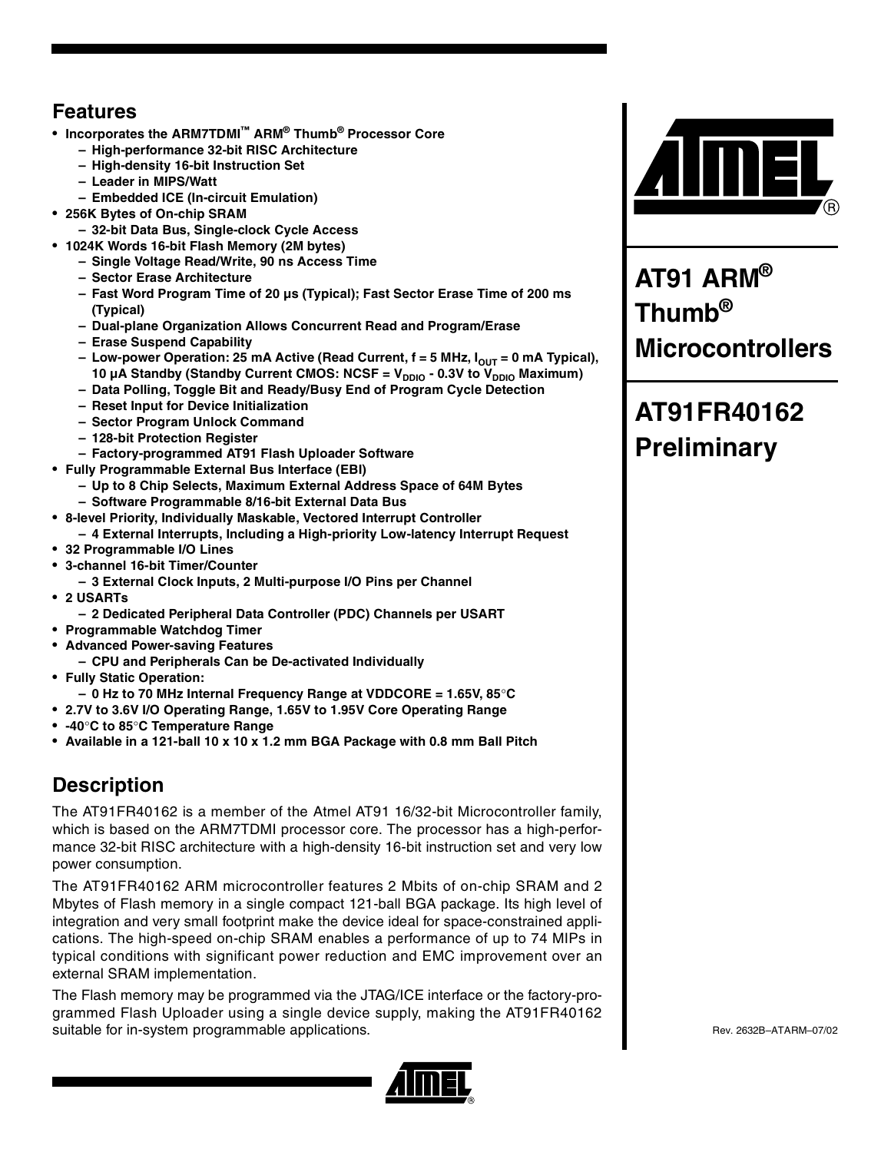## **Features**

- **Incorporates the ARM7TDMI™ ARM® Thumb® Processor Core**
	- **High-performance 32-bit RISC Architecture**
	- **High-density 16-bit Instruction Set**
	- **Leader in MIPS/Watt**
	- **Embedded ICE (In-circuit Emulation)**
- **256K Bytes of On-chip SRAM**
	- **32-bit Data Bus, Single-clock Cycle Access**
- **1024K Words 16-bit Flash Memory (2M bytes)**
	- **Single Voltage Read/Write, 90 ns Access Time**
	- **Sector Erase Architecture**
	- **Fast Word Program Time of 20 µs (Typical); Fast Sector Erase Time of 200 ms (Typical)**
	- **Dual-plane Organization Allows Concurrent Read and Program/Erase**
	- **Erase Suspend Capability**
	- Low-power Operation: 25 mA Active (Read Current, f = 5 MHz, I<sub>OUT</sub> = 0 mA Typical), 10 µA Standby (Standby Current CMOS: NCSF = V<sub>DDIO</sub> - 0.3V to V<sub>DDIO</sub> Maximum)
	- **Data Polling, Toggle Bit and Ready/Busy End of Program Cycle Detection**
	- **Reset Input for Device Initialization**
	- **Sector Program Unlock Command**
	- **128-bit Protection Register**
	- **Factory-programmed AT91 Flash Uploader Software**
- **Fully Programmable External Bus Interface (EBI)**
	- **Up to 8 Chip Selects, Maximum External Address Space of 64M Bytes**
	- **Software Programmable 8/16-bit External Data Bus**
- **8-level Priority, Individually Maskable, Vectored Interrupt Controller**
	- **4 External Interrupts, Including a High-priority Low-latency Interrupt Request**
- **32 Programmable I/O Lines**
- **3-channel 16-bit Timer/Counter**
- **3 External Clock Inputs, 2 Multi-purpose I/O Pins per Channel**
- **2 USARTs**
	- **2 Dedicated Peripheral Data Controller (PDC) Channels per USART**
- **Programmable Watchdog Timer**
- **Advanced Power-saving Features**
	- **CPU and Peripherals Can be De-activated Individually**
- **Fully Static Operation:**
	- **0 Hz to 70 MHz Internal Frequency Range at VDDCORE = 1.65V, 85**°**C**
- **2.7V to 3.6V I/O Operating Range, 1.65V to 1.95V Core Operating Range**
- **-40**°**C to 85**°**C Temperature Range**
- **Available in a 121-ball 10 x 10 x 1.2 mm BGA Package with 0.8 mm Ball Pitch**

## **Description**

The AT91FR40162 is a member of the Atmel AT91 16/32-bit Microcontroller family, which is based on the ARM7TDMI processor core. The processor has a high-performance 32-bit RISC architecture with a high-density 16-bit instruction set and very low power consumption.

The AT91FR40162 ARM microcontroller features 2 Mbits of on-chip SRAM and 2 Mbytes of Flash memory in a single compact 121-ball BGA package. Its high level of integration and very small footprint make the device ideal for space-constrained applications. The high-speed on-chip SRAM enables a performance of up to 74 MIPs in typical conditions with significant power reduction and EMC improvement over an external SRAM implementation.

The Flash memory may be programmed via the JTAG/ICE interface or the factory-programmed Flash Uploader using a single device supply, making the AT91FR40162 suitable for in-system programmable applications.





**AT91 ARM® Thumb® Microcontrollers**

## **AT91FR40162 Preliminary**

Rev. 2632B–ATARM–07/02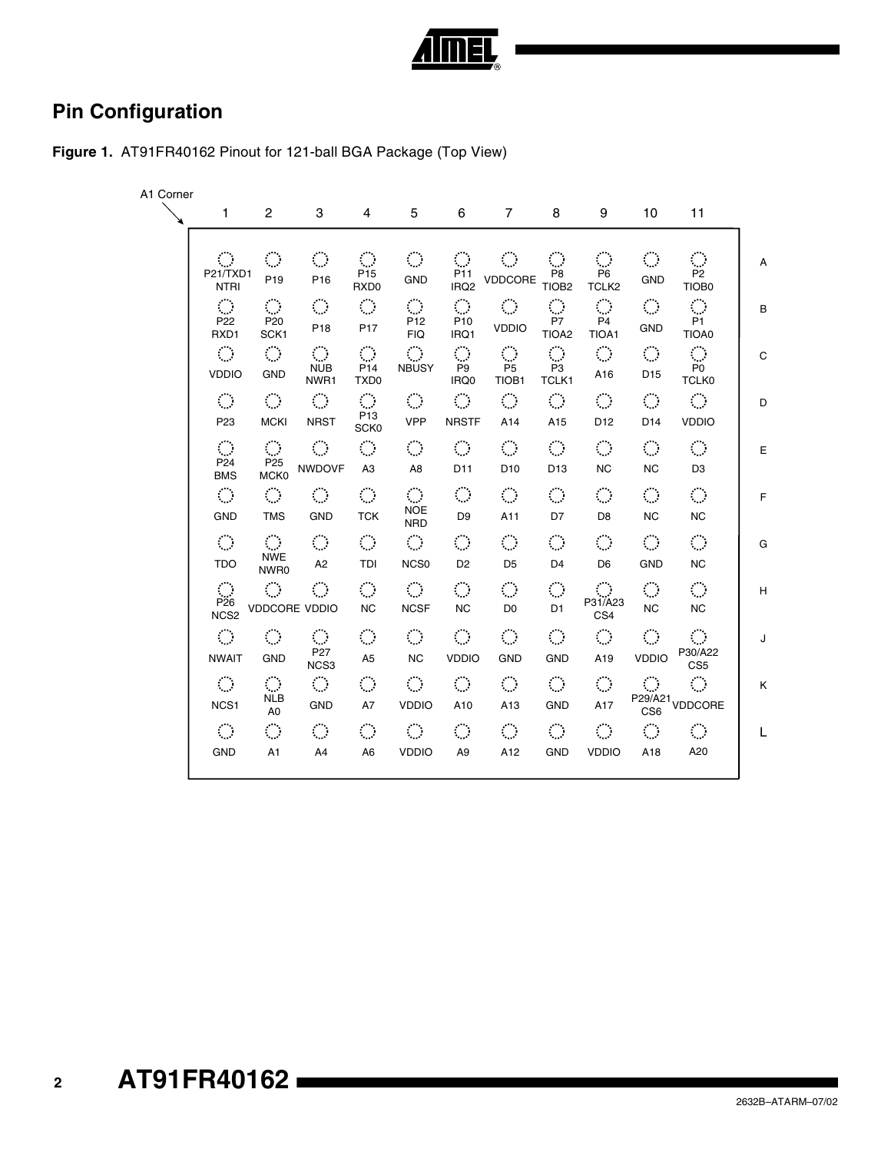

## **Pin Configuration**



| A1 Corner |                                                    |                                                     |                                                                    |                                                                    |                                                  |                                                        |                                                        |                                                          |                                                |                                                |                                                        |    |
|-----------|----------------------------------------------------|-----------------------------------------------------|--------------------------------------------------------------------|--------------------------------------------------------------------|--------------------------------------------------|--------------------------------------------------------|--------------------------------------------------------|----------------------------------------------------------|------------------------------------------------|------------------------------------------------|--------------------------------------------------------|----|
|           | 1                                                  | $\overline{2}$                                      | 3                                                                  | 4                                                                  | 5                                                | 6                                                      | 7                                                      | 8                                                        | 9                                              | 10                                             | 11                                                     |    |
|           | $\langle \rangle$<br>P21/TXD1<br><b>NTRI</b>       | $\langle \rangle$<br>P <sub>19</sub>                | $\mathcal{L}_{\mathcal{A}}$<br>P <sub>16</sub>                     | $\mathcal{L}_{\mathcal{A}}$<br>P <sub>15</sub><br>RXD0             | $\langle \rangle$<br><b>GND</b>                  | $\mathcal{L}_{\mathcal{A}}$<br>P11<br>IRQ <sub>2</sub> | $\mathcal{L}_{\mathcal{A}}$<br>VDDCORE                 | $\langle \rangle$<br>P <sub>8</sub><br>TIOB <sub>2</sub> | $\mathcal{C}_{\mathcal{A}}$<br>P6<br>TCLK2     | $\mathcal{L}_{\mathcal{A}}$<br><b>GND</b>      | $\mathcal{L}_{\mathcal{A}}$<br>P <sub>2</sub><br>TIOB0 | A  |
|           | $\langle \rangle$<br>P <sub>22</sub><br>RXD1       | $\mathbb{R}^2$<br>P <sub>20</sub><br>SCK1           | $\langle \rangle$<br>P <sub>18</sub>                               | $\mathcal{L}_{\mathcal{A}}$<br>P <sub>17</sub>                     | $\mathcal{L}_{\mathcal{A}}$<br>P12<br><b>FIQ</b> | $\mathcal{L}_{\mathcal{A}}$<br>P <sub>10</sub><br>IRQ1 | $\langle \rangle$<br><b>VDDIO</b>                      | $\langle \rangle$<br>P7<br>TIOA <sub>2</sub>             | $\mathcal{L}_{\mathcal{A}}$<br>P4<br>TIOA1     | $\langle \rangle$<br><b>GND</b>                | $\hat{\mathcal{L}}$<br>P <sub>1</sub><br>TIOA0         | B  |
|           | $\mathcal{L}_{\mathcal{A}}$<br><b>VDDIO</b>        | $\langle \rangle$<br><b>GND</b>                     | $\langle \rangle$<br><b>NUB</b><br>NWR1                            | $\mathcal{L}_{\mathcal{A}}$<br>P <sub>14</sub><br>TXD <sub>0</sub> | $\mathcal{L}_{\mathcal{A}}$<br><b>NBUSY</b>      | $\hat{\mathcal{L}}$<br>P <sub>9</sub><br>IRQ0          | $\mathcal{L}_{\mathcal{A}}$<br>P <sub>5</sub><br>TIOB1 | $\langle \rangle$<br>P <sub>3</sub><br>TCLK1             | $\langle \rangle$<br>A16                       | $\mathcal{L}_{\mathcal{A}}$<br>D <sub>15</sub> | $\langle \rangle$<br>P <sub>0</sub><br><b>TCLK0</b>    | C  |
|           | $\langle \rangle$<br>P <sub>23</sub>               | $\langle \rangle$<br><b>MCKI</b>                    | $\langle \rangle$<br><b>NRST</b>                                   | $\mathcal{L}_{\mathcal{A}}$<br>P <sub>13</sub><br>SCK0             | $\langle \rangle$<br><b>VPP</b>                  | $\mathcal{L}_{\mathcal{A}}$<br><b>NRSTF</b>            | $\mathcal{L}_{\mathcal{A}}$<br>A14                     | $\langle \rangle$<br>A15                                 | $\mathcal{L}_{\mathcal{A}}$<br>D <sub>12</sub> | $\mathcal{L}_{\mathcal{A}}$<br>D14             | $\langle \rangle$<br><b>VDDIO</b>                      | D  |
|           | $\langle \rangle$<br>P <sub>24</sub><br><b>BMS</b> | $\langle \rangle$<br>P <sub>25</sub><br><b>MCK0</b> | $\mathcal{L}_{\mathcal{A}}$<br><b>NWDOVF</b>                       | $\mathcal{L}_{\mathcal{A}}$<br>A <sub>3</sub>                      | $\langle \rangle$<br>A <sub>8</sub>              | $\mathcal{L}_{\mathcal{A}}$<br>D11                     | $\mathcal{L}_{\mathcal{A}}$<br>D <sub>10</sub>         | $\langle \rangle$<br>D <sub>13</sub>                     | $\mathcal{L}_{\mathcal{A}}$<br><b>NC</b>       | $\mathcal{L}_{\mathcal{A}}$<br><b>NC</b>       | $\mathcal{L}_{\mathcal{A}}$<br>D <sub>3</sub>          | E  |
|           | $\langle \rangle$<br><b>GND</b>                    | $\langle \rangle$<br><b>TMS</b>                     | $\langle \cdot \rangle$<br><b>GND</b>                              | $\mathcal{L}_{\mathcal{A}}$<br><b>TCK</b>                          | $\langle \rangle$<br><b>NOE</b><br><b>NRD</b>    | $\langle \rangle$<br>D <sub>9</sub>                    | $\mathcal{L}_{\mathcal{A}}$<br>A11                     | $\mathcal{L}_{\mathcal{A}}$<br>D7                        | $\mathcal{L}_{\mathcal{A}}$<br>D <sub>8</sub>  | $\langle \rangle$<br><b>NC</b>                 | $\mathcal{L}_{\mathcal{A}}$<br><b>NC</b>               | F. |
|           | $\langle \rangle$<br><b>TDO</b>                    | $\langle \rangle$<br><b>NWE</b><br>NWR0             | $\langle \rangle$<br>A <sub>2</sub>                                | $\mathcal{L}_{\mathcal{A}}$<br>TDI                                 | $\langle \rangle$<br>NCS <sub>0</sub>            | $\mathcal{L}_{\mathcal{A}}$<br>D <sub>2</sub>          | $\mathcal{L}_{\mathcal{A}}$<br>D <sub>5</sub>          | $\langle \rangle$<br>D <sub>4</sub>                      | $\mathcal{L}_{\mathcal{A}}$<br>D <sub>6</sub>  | $\mathcal{C}_{\mathcal{A}}$<br><b>GND</b>      | $\mathcal{L}_{\mathcal{A}}$<br><b>NC</b>               | G  |
|           | $\langle \rangle$<br>P26<br>NCS <sub>2</sub>       | $\langle \rangle$<br><b>VDDCORE VDDIO</b>           | $\mathcal{L}_{\mathcal{A}}$                                        | $\mathcal{L}_{\mathcal{A}}$<br><b>NC</b>                           | $\langle \rangle$<br><b>NCSF</b>                 | $\mathcal{C}^{\mathcal{A}}$<br><b>NC</b>               | $\mathcal{L}_{\mathcal{A}}$<br>D <sub>0</sub>          | $\langle \rangle$<br>D <sub>1</sub>                      | P31/A23<br>CS4                                 | $\bigcirc$<br><b>NC</b>                        | $\mathcal{L}_{\mathcal{A}}$<br><b>NC</b>               | H  |
|           | $\mathcal{L}_{\mathcal{A}}$<br><b>NWAIT</b>        | $\mathcal{L}_{\mathcal{A}}$<br><b>GND</b>           | $\mathcal{L}_{\mathcal{A}}$<br>P <sub>27</sub><br>NCS <sub>3</sub> | $\langle \rangle$<br>A <sub>5</sub>                                | $\langle \rangle$<br><b>NC</b>                   | $\mathcal{L}_{\mathcal{A}}$<br><b>VDDIO</b>            | $\mathcal{L}_{\mathcal{A}}$<br><b>GND</b>              | $\mathcal{L}_{\mathcal{A}}$<br><b>GND</b>                | $\mathcal{L}_{\mathcal{A}}$<br>A19             | $\mathcal{L}_{\mathcal{A}}$<br><b>VDDIO</b>    | $\langle \rangle$<br>P30/A22<br>CS <sub>5</sub>        | J  |
|           | $\langle \rangle$<br>NCS <sub>1</sub>              | <b>NLB</b><br>A <sub>0</sub>                        | $\bigcirc$<br><b>GND</b>                                           | $\langle \rangle$<br>A7                                            | $\langle \rangle$<br><b>VDDIO</b>                | $\mathcal{L}_{\mathcal{A}}$<br>A10                     | $\mathcal{L}_{\mathcal{A}}$<br>A13                     | $\langle \rangle$<br><b>GND</b>                          | $\mathcal{L}_{\mathcal{A}}$<br>A17             | $\mathcal{L}_{\mathcal{A}}$                    | $\mathcal{L}_{\mathcal{A}}$<br>P29/A21<br>CS6 VDDCORE  | Κ  |
|           | $\mathcal{L}_{\mathcal{A}}$<br><b>GND</b>          | $\mathbb{R}^2$<br>A <sub>1</sub>                    | $\mathcal{L}_{\mathcal{A}}$<br>A4                                  | $\langle \rangle$<br>A <sub>6</sub>                                | $\langle \rangle$<br><b>VDDIO</b>                | $\mathcal{L}_{\mathcal{A}}$<br>A <sub>9</sub>          | $\mathcal{L}_{\mathcal{A}}$<br>A12                     | $\langle \rangle$<br><b>GND</b>                          | $\mathcal{L}_{\mathcal{A}}$<br><b>VDDIO</b>    | $\mathcal{L}_{\mathcal{A}}$<br>A18             | $\mathcal{C}_{\mathcal{A}}$<br>A20                     | L  |
|           |                                                    |                                                     |                                                                    |                                                                    |                                                  |                                                        |                                                        |                                                          |                                                |                                                |                                                        |    |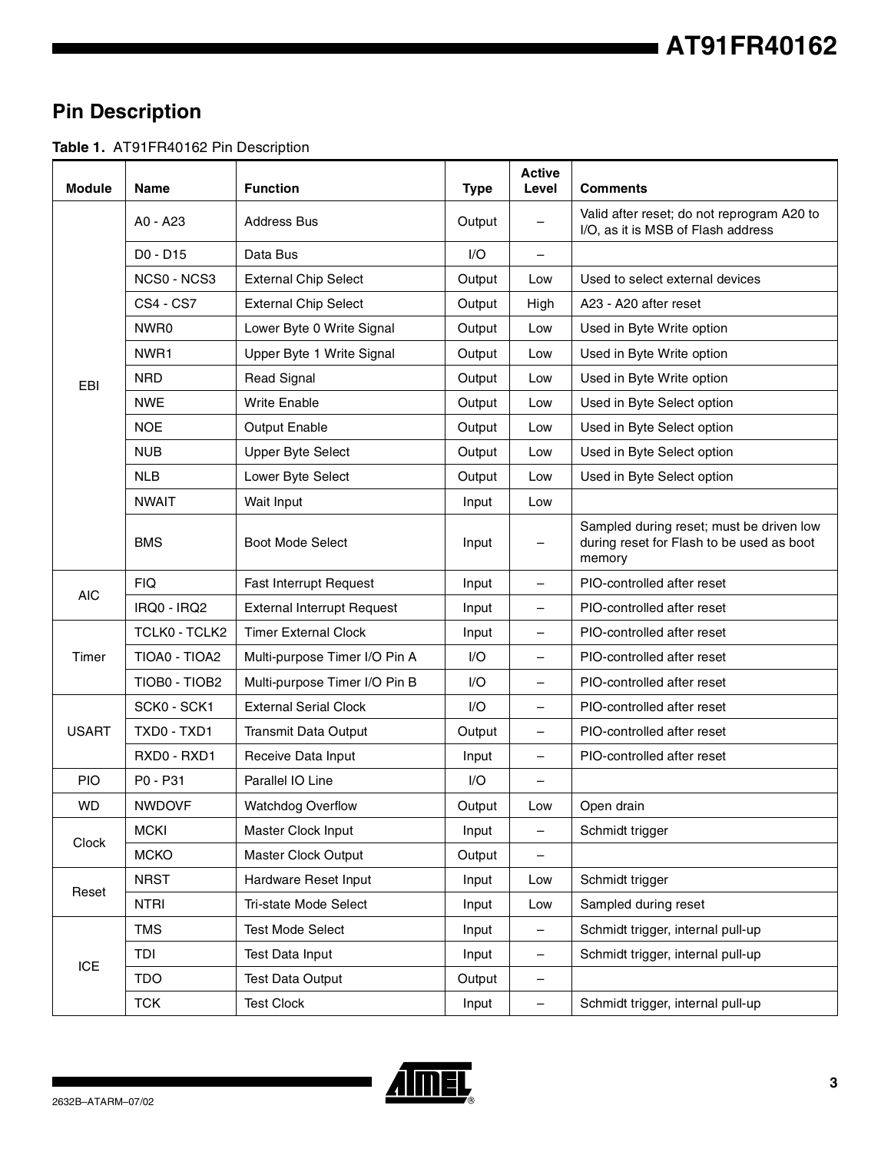## **AT91FR40162**

## **Pin Description**

**Table 1.** AT91FR40162 Pin Description

| <b>Module</b> | <b>Name</b>      | <b>Function</b>                   | <b>Type</b> | <b>Active</b><br>Level | Comments                                                                                        |
|---------------|------------------|-----------------------------------|-------------|------------------------|-------------------------------------------------------------------------------------------------|
|               | A0 - A23         | <b>Address Bus</b>                | Output      |                        | Valid after reset; do not reprogram A20 to<br>I/O, as it is MSB of Flash address                |
|               | D0 - D15         | Data Bus                          | I/O         |                        |                                                                                                 |
|               | NCS0 - NCS3      | <b>External Chip Select</b>       | Output      | Low                    | Used to select external devices                                                                 |
|               | <b>CS4 - CS7</b> | <b>External Chip Select</b>       | Output      | High                   | A23 - A20 after reset                                                                           |
|               | NWR0             | Lower Byte 0 Write Signal         | Output      | Low                    | Used in Byte Write option                                                                       |
|               | NWR1             | Upper Byte 1 Write Signal         | Output      | Low                    | Used in Byte Write option                                                                       |
| EBI           | <b>NRD</b>       | <b>Read Signal</b>                | Output      | Low                    | Used in Byte Write option                                                                       |
|               | <b>NWE</b>       | <b>Write Enable</b>               | Output      | Low                    | Used in Byte Select option                                                                      |
|               | <b>NOE</b>       | Output Enable                     | Output      | Low                    | Used in Byte Select option                                                                      |
|               | <b>NUB</b>       | <b>Upper Byte Select</b>          | Output      | Low                    | Used in Byte Select option                                                                      |
|               | <b>NLB</b>       | Lower Byte Select                 | Output      | Low                    | Used in Byte Select option                                                                      |
|               | <b>NWAIT</b>     | Wait Input                        | Input       | Low                    |                                                                                                 |
|               | <b>BMS</b>       | <b>Boot Mode Select</b>           | Input       | $\qquad \qquad -$      | Sampled during reset; must be driven low<br>during reset for Flash to be used as boot<br>memory |
|               | <b>FIQ</b>       | <b>Fast Interrupt Request</b>     | Input       | $\qquad \qquad -$      | PIO-controlled after reset                                                                      |
| <b>AIC</b>    | IRQ0 - IRQ2      | <b>External Interrupt Request</b> | Input       |                        | PIO-controlled after reset                                                                      |
|               | TCLK0 - TCLK2    | <b>Timer External Clock</b>       | Input       | $\qquad \qquad -$      | PIO-controlled after reset                                                                      |
| Timer         | TIOA0 - TIOA2    | Multi-purpose Timer I/O Pin A     | I/O         |                        | PIO-controlled after reset                                                                      |
|               | TIOB0 - TIOB2    | Multi-purpose Timer I/O Pin B     | $U$         |                        | PIO-controlled after reset                                                                      |
|               | SCK0 - SCK1      | <b>External Serial Clock</b>      | 1/O         | $\qquad \qquad -$      | PIO-controlled after reset                                                                      |
| <b>USART</b>  | TXD0 - TXD1      | <b>Transmit Data Output</b>       | Output      | $\qquad \qquad -$      | PIO-controlled after reset                                                                      |
|               | RXD0 - RXD1      | Receive Data Input                | Input       | $\qquad \qquad -$      | PIO-controlled after reset                                                                      |
| <b>PIO</b>    | P0 - P31         | Parallel IO Line                  | I/O         |                        |                                                                                                 |
| <b>WD</b>     | <b>NWDOVF</b>    | <b>Watchdog Overflow</b>          | Output      | Low                    | Open drain                                                                                      |
|               | <b>MCKI</b>      | Master Clock Input                | Input       | $\qquad \qquad -$      | Schmidt trigger                                                                                 |
| Clock         | <b>MCKO</b>      | <b>Master Clock Output</b>        | Output      | $\qquad \qquad -$      |                                                                                                 |
|               | <b>NRST</b>      | Hardware Reset Input              | Input       | Low                    | Schmidt trigger                                                                                 |
| Reset         | <b>NTRI</b>      | Tri-state Mode Select             | Input       | Low                    | Sampled during reset                                                                            |
|               | <b>TMS</b>       | <b>Test Mode Select</b>           | Input       |                        | Schmidt trigger, internal pull-up                                                               |
|               | TDI              | Test Data Input                   | Input       |                        | Schmidt trigger, internal pull-up                                                               |
| <b>ICE</b>    | <b>TDO</b>       | <b>Test Data Output</b>           | Output      | $\qquad \qquad -$      |                                                                                                 |
|               | <b>TCK</b>       | <b>Test Clock</b>                 | Input       | $\qquad \qquad -$      | Schmidt trigger, internal pull-up                                                               |

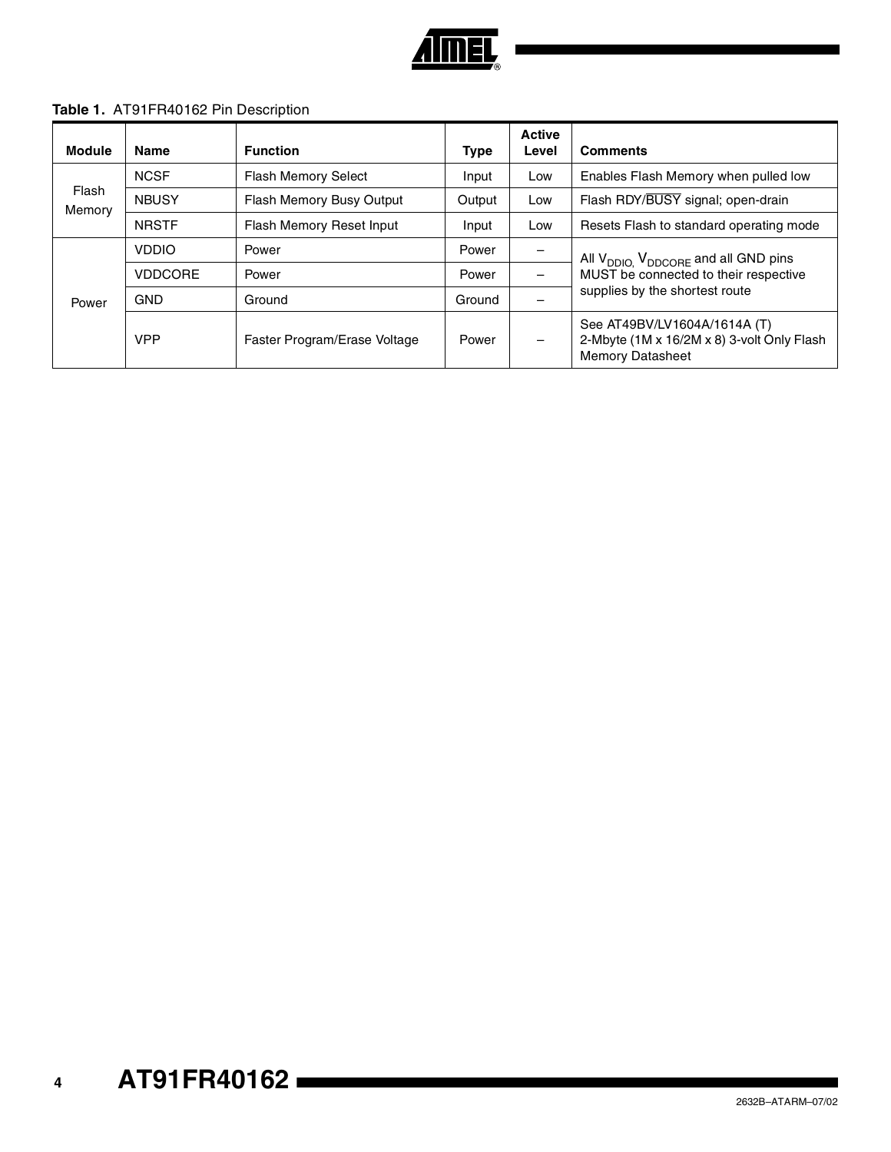

#### **Table 1.** AT91FR40162 Pin Description

| <b>Module</b>   | <b>Name</b>                                                              | <b>Function</b>                 | <b>Type</b> | <b>Active</b><br>Level   | <b>Comments</b>                                                                                                                        |  |
|-----------------|--------------------------------------------------------------------------|---------------------------------|-------------|--------------------------|----------------------------------------------------------------------------------------------------------------------------------------|--|
|                 | <b>NCSF</b>                                                              | <b>Flash Memory Select</b>      | Input       | Low                      | Enables Flash Memory when pulled low                                                                                                   |  |
| Flash<br>Memory | <b>NBUSY</b>                                                             | Flash Memory Busy Output        | Output      | Low                      | Flash RDY/BUSY signal; open-drain                                                                                                      |  |
|                 | <b>NRSTF</b>                                                             | <b>Flash Memory Reset Input</b> | Input       | Low                      | Resets Flash to standard operating mode                                                                                                |  |
| Power           | <b>VDDIO</b><br>Power<br><b>VDDCORE</b><br>Power<br><b>GND</b><br>Ground |                                 | Power       | $\overline{\phantom{m}}$ | All V <sub>DDIO,</sub> V <sub>DDCORE</sub> and all GND pins<br>MUST be connected to their respective<br>supplies by the shortest route |  |
|                 |                                                                          |                                 | Power       |                          |                                                                                                                                        |  |
|                 |                                                                          |                                 | Ground      |                          |                                                                                                                                        |  |
|                 | <b>VPP</b>                                                               | Faster Program/Erase Voltage    | Power       | $\overline{\phantom{m}}$ | See AT49BV/LV1604A/1614A (T)<br>2-Mbyte (1M x 16/2M x 8) 3-volt Only Flash<br><b>Memory Datasheet</b>                                  |  |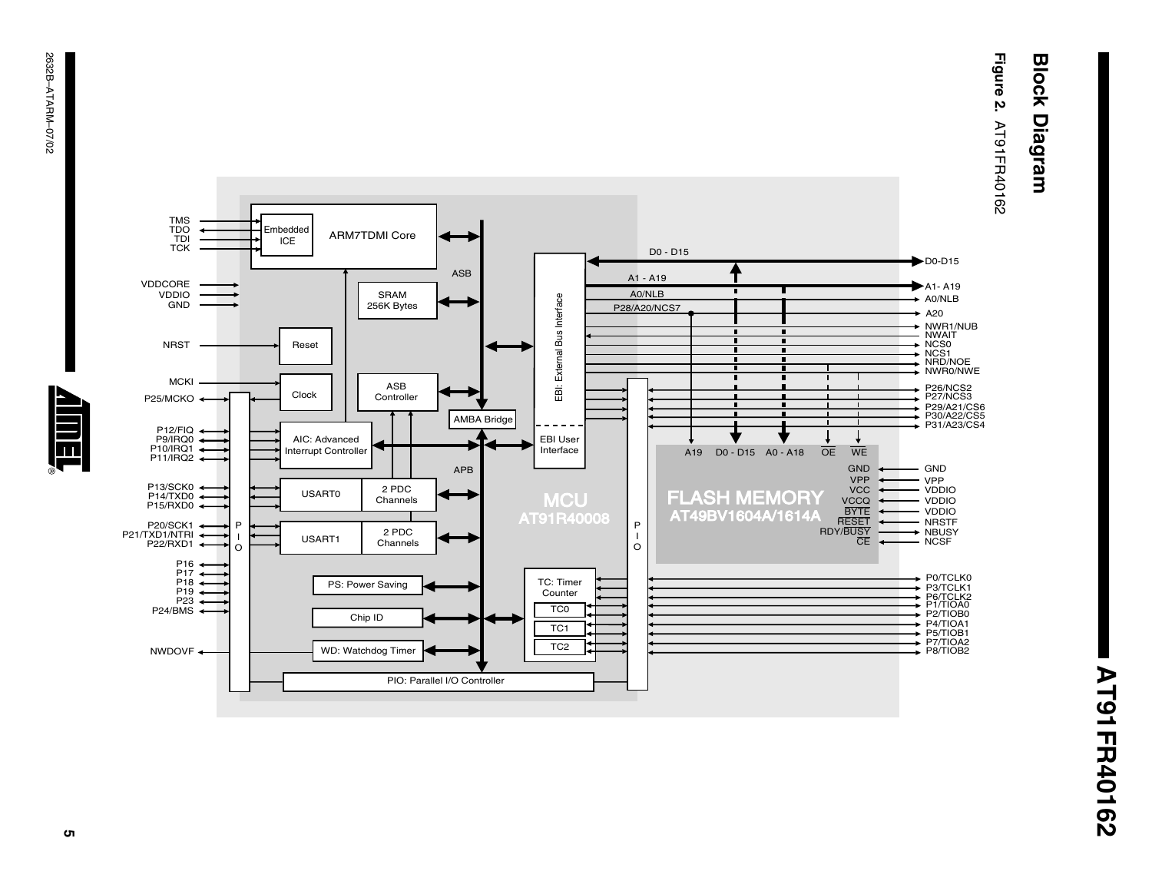# **Block Diagram Block Diagram**

**Figure 2. AT91FR40162** AT91FR40162





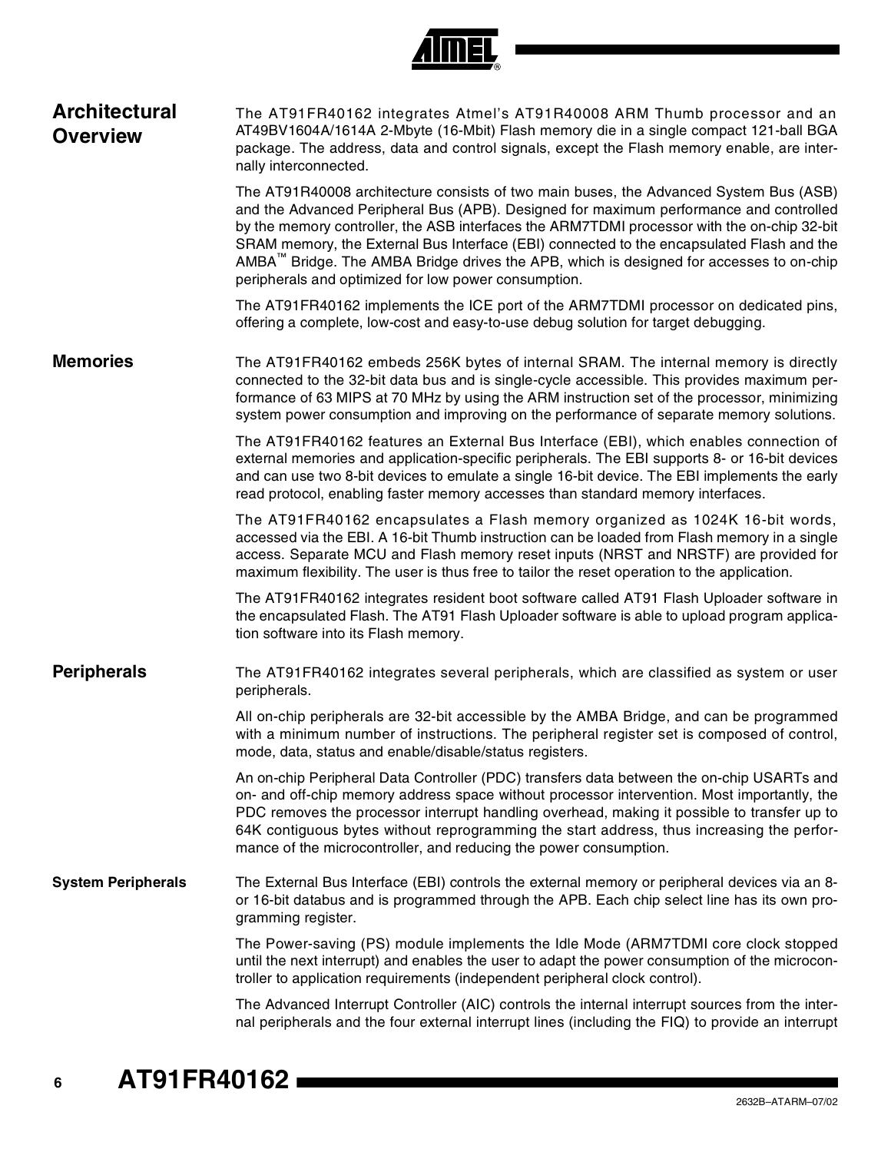

| <b>Architectural</b><br><b>Overview</b> | The AT91FR40162 integrates Atmel's AT91R40008 ARM Thumb processor and an<br>AT49BV1604A/1614A 2-Mbyte (16-Mbit) Flash memory die in a single compact 121-ball BGA<br>package. The address, data and control signals, except the Flash memory enable, are inter-<br>nally interconnected.                                                                                                                                                                                                                                                   |
|-----------------------------------------|--------------------------------------------------------------------------------------------------------------------------------------------------------------------------------------------------------------------------------------------------------------------------------------------------------------------------------------------------------------------------------------------------------------------------------------------------------------------------------------------------------------------------------------------|
|                                         | The AT91R40008 architecture consists of two main buses, the Advanced System Bus (ASB)<br>and the Advanced Peripheral Bus (APB). Designed for maximum performance and controlled<br>by the memory controller, the ASB interfaces the ARM7TDMI processor with the on-chip 32-bit<br>SRAM memory, the External Bus Interface (EBI) connected to the encapsulated Flash and the<br>AMBA <sup>™</sup> Bridge. The AMBA Bridge drives the APB, which is designed for accesses to on-chip<br>peripherals and optimized for low power consumption. |
|                                         | The AT91FR40162 implements the ICE port of the ARM7TDMI processor on dedicated pins,<br>offering a complete, low-cost and easy-to-use debug solution for target debugging.                                                                                                                                                                                                                                                                                                                                                                 |
| <b>Memories</b>                         | The AT91FR40162 embeds 256K bytes of internal SRAM. The internal memory is directly<br>connected to the 32-bit data bus and is single-cycle accessible. This provides maximum per-<br>formance of 63 MIPS at 70 MHz by using the ARM instruction set of the processor, minimizing<br>system power consumption and improving on the performance of separate memory solutions.                                                                                                                                                               |
|                                         | The AT91FR40162 features an External Bus Interface (EBI), which enables connection of<br>external memories and application-specific peripherals. The EBI supports 8- or 16-bit devices<br>and can use two 8-bit devices to emulate a single 16-bit device. The EBI implements the early<br>read protocol, enabling faster memory accesses than standard memory interfaces.                                                                                                                                                                 |
|                                         | The AT91FR40162 encapsulates a Flash memory organized as 1024K 16-bit words,<br>accessed via the EBI. A 16-bit Thumb instruction can be loaded from Flash memory in a single<br>access. Separate MCU and Flash memory reset inputs (NRST and NRSTF) are provided for<br>maximum flexibility. The user is thus free to tailor the reset operation to the application.                                                                                                                                                                       |
|                                         | The AT91FR40162 integrates resident boot software called AT91 Flash Uploader software in<br>the encapsulated Flash. The AT91 Flash Uploader software is able to upload program applica-<br>tion software into its Flash memory.                                                                                                                                                                                                                                                                                                            |
| <b>Peripherals</b>                      | The AT91FR40162 integrates several peripherals, which are classified as system or user<br>peripherals.                                                                                                                                                                                                                                                                                                                                                                                                                                     |
|                                         | All on-chip peripherals are 32-bit accessible by the AMBA Bridge, and can be programmed<br>with a minimum number of instructions. The peripheral register set is composed of control,<br>mode, data, status and enable/disable/status registers.                                                                                                                                                                                                                                                                                           |
|                                         | An on-chip Peripheral Data Controller (PDC) transfers data between the on-chip USARTs and<br>on- and off-chip memory address space without processor intervention. Most importantly, the<br>PDC removes the processor interrupt handling overhead, making it possible to transfer up to<br>64K contiguous bytes without reprogramming the start address, thus increasing the perfor-<br>mance of the microcontroller, and reducing the power consumption.                                                                                  |
| <b>System Peripherals</b>               | The External Bus Interface (EBI) controls the external memory or peripheral devices via an 8-<br>or 16-bit databus and is programmed through the APB. Each chip select line has its own pro-<br>gramming register.                                                                                                                                                                                                                                                                                                                         |
|                                         | The Power-saving (PS) module implements the Idle Mode (ARM7TDMI core clock stopped<br>until the next interrupt) and enables the user to adapt the power consumption of the microcon-<br>troller to application requirements (independent peripheral clock control).                                                                                                                                                                                                                                                                        |
|                                         | The Advanced Interrupt Controller (AIC) controls the internal interrupt sources from the inter-<br>nal peripherals and the four external interrupt lines (including the FIQ) to provide an interrupt                                                                                                                                                                                                                                                                                                                                       |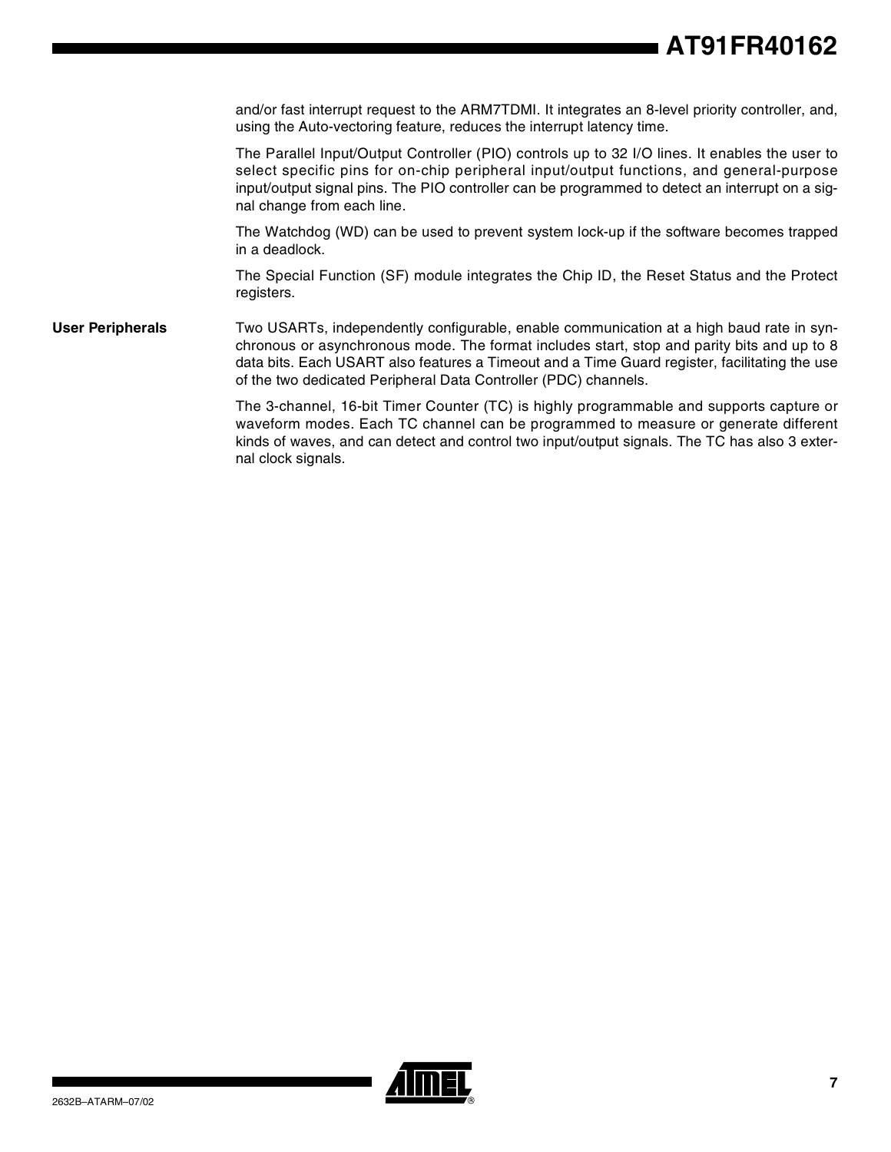and/or fast interrupt request to the ARM7TDMI. It integrates an 8-level priority controller, and, using the Auto-vectoring feature, reduces the interrupt latency time.

The Parallel Input/Output Controller (PIO) controls up to 32 I/O lines. It enables the user to select specific pins for on-chip peripheral input/output functions, and general-purpose input/output signal pins. The PIO controller can be programmed to detect an interrupt on a signal change from each line.

The Watchdog (WD) can be used to prevent system lock-up if the software becomes trapped in a deadlock.

The Special Function (SF) module integrates the Chip ID, the Reset Status and the Protect registers.

**User Peripherals** Two USARTs, independently configurable, enable communication at a high baud rate in synchronous or asynchronous mode. The format includes start, stop and parity bits and up to 8 data bits. Each USART also features a Timeout and a Time Guard register, facilitating the use of the two dedicated Peripheral Data Controller (PDC) channels.

> The 3-channel, 16-bit Timer Counter (TC) is highly programmable and supports capture or waveform modes. Each TC channel can be programmed to measure or generate different kinds of waves, and can detect and control two input/output signals. The TC has also 3 external clock signals.

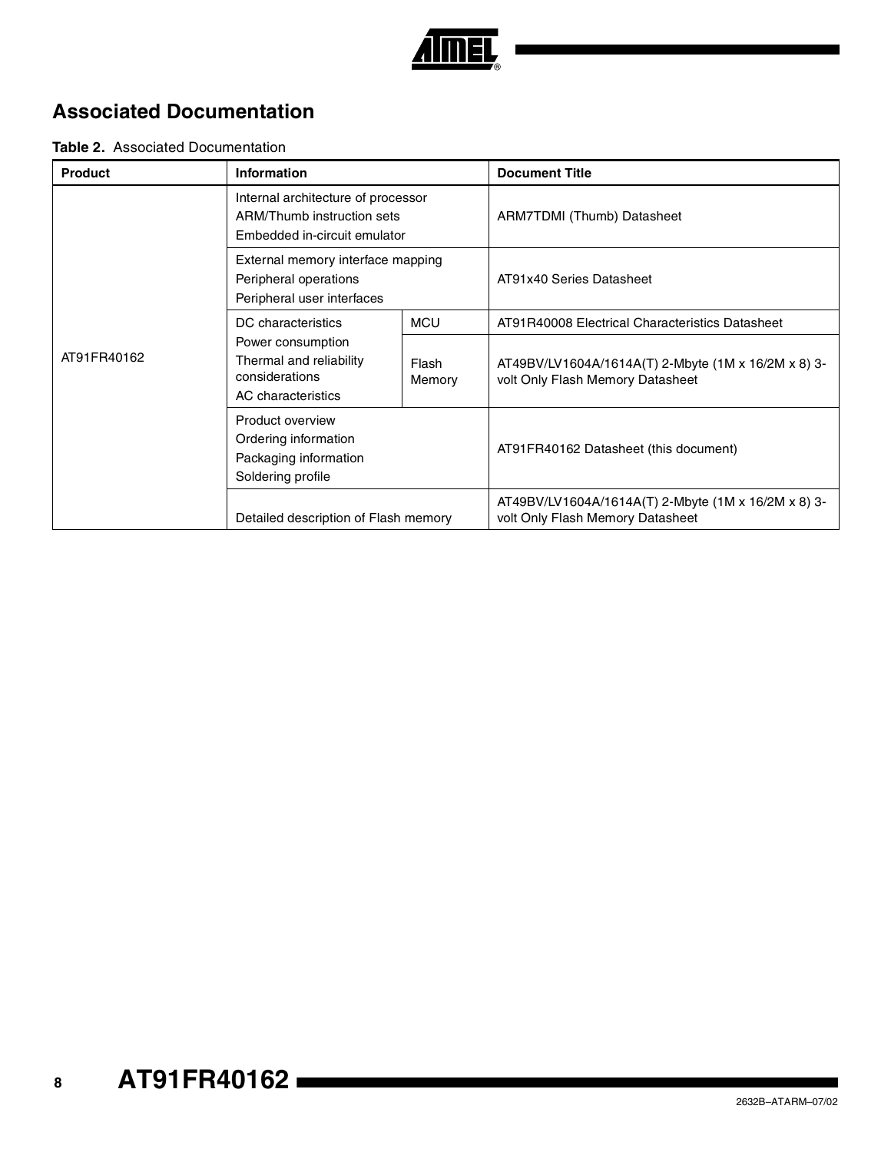

## **Associated Documentation**

#### **Table 2.** Associated Documentation

| <b>Product</b> | Information                                                                                      |                 | <b>Document Title</b>                                                                   |
|----------------|--------------------------------------------------------------------------------------------------|-----------------|-----------------------------------------------------------------------------------------|
|                | Internal architecture of processor<br>ARM/Thumb instruction sets<br>Embedded in-circuit emulator |                 | ARM7TDMI (Thumb) Datasheet                                                              |
|                | External memory interface mapping<br>Peripheral operations<br>Peripheral user interfaces         |                 | AT91x40 Series Datasheet                                                                |
|                | DC characteristics                                                                               | <b>MCU</b>      | AT91R40008 Electrical Characteristics Datasheet                                         |
| AT91FR40162    | Power consumption<br>Thermal and reliability<br>considerations<br>AC characteristics             | Flash<br>Memory | AT49BV/LV1604A/1614A(T) 2-Mbyte (1M x 16/2M x 8) 3-<br>volt Only Flash Memory Datasheet |
|                | <b>Product overview</b><br>Ordering information<br>Packaging information<br>Soldering profile    |                 | AT91FR40162 Datasheet (this document)                                                   |
|                | Detailed description of Flash memory                                                             |                 | AT49BV/LV1604A/1614A(T) 2-Mbyte (1M x 16/2M x 8) 3-<br>volt Only Flash Memory Datasheet |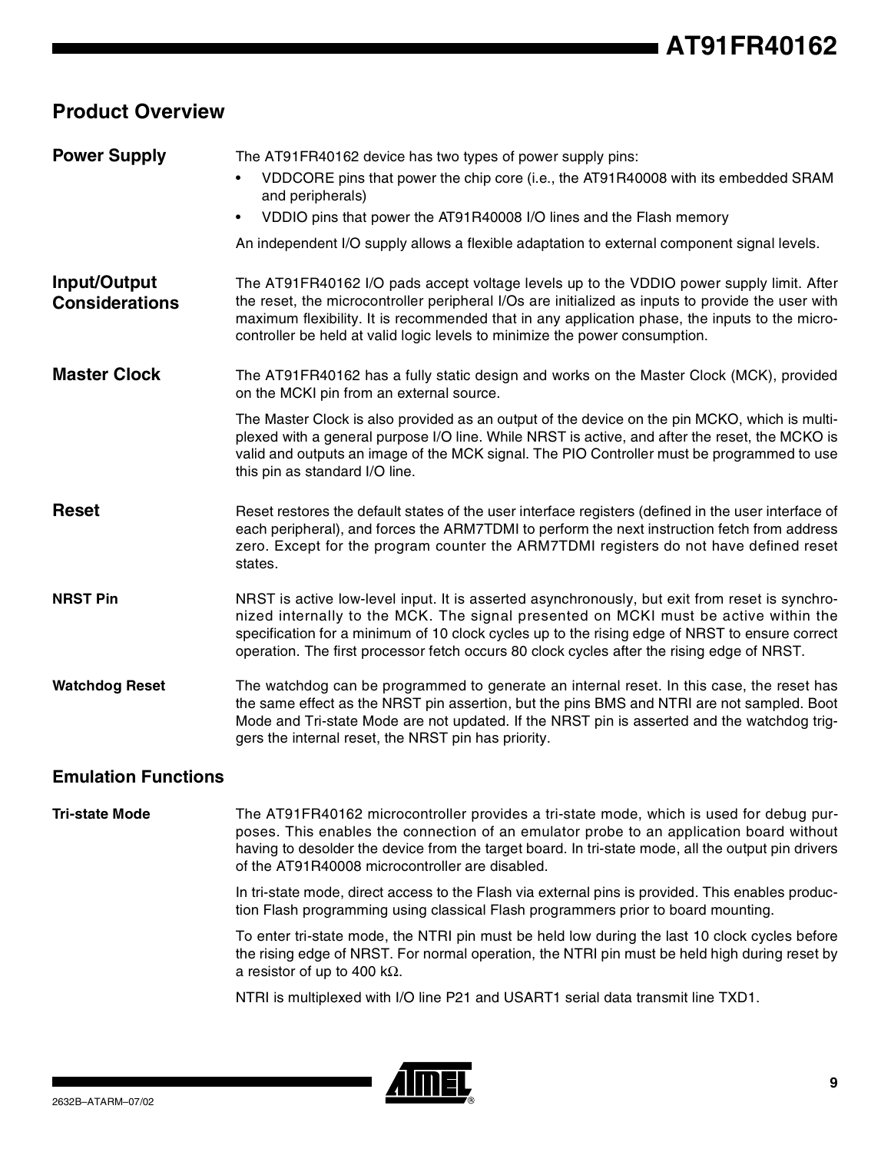## **Product Overview**

| <b>Power Supply</b>                   | The AT91FR40162 device has two types of power supply pins:                                                                                                                                                                                                                                                                                                                            |
|---------------------------------------|---------------------------------------------------------------------------------------------------------------------------------------------------------------------------------------------------------------------------------------------------------------------------------------------------------------------------------------------------------------------------------------|
|                                       | VDDCORE pins that power the chip core (i.e., the AT91R40008 with its embedded SRAM<br>$\bullet$<br>and peripherals)                                                                                                                                                                                                                                                                   |
|                                       | VDDIO pins that power the AT91R40008 I/O lines and the Flash memory                                                                                                                                                                                                                                                                                                                   |
|                                       | An independent I/O supply allows a flexible adaptation to external component signal levels.                                                                                                                                                                                                                                                                                           |
| Input/Output<br><b>Considerations</b> | The AT91FR40162 I/O pads accept voltage levels up to the VDDIO power supply limit. After<br>the reset, the microcontroller peripheral I/Os are initialized as inputs to provide the user with<br>maximum flexibility. It is recommended that in any application phase, the inputs to the micro-<br>controller be held at valid logic levels to minimize the power consumption.        |
| <b>Master Clock</b>                   | The AT91FR40162 has a fully static design and works on the Master Clock (MCK), provided<br>on the MCKI pin from an external source.                                                                                                                                                                                                                                                   |
|                                       | The Master Clock is also provided as an output of the device on the pin MCKO, which is multi-<br>plexed with a general purpose I/O line. While NRST is active, and after the reset, the MCKO is<br>valid and outputs an image of the MCK signal. The PIO Controller must be programmed to use<br>this pin as standard I/O line.                                                       |
| <b>Reset</b>                          | Reset restores the default states of the user interface registers (defined in the user interface of<br>each peripheral), and forces the ARM7TDMI to perform the next instruction fetch from address<br>zero. Except for the program counter the ARM7TDMI registers do not have defined reset<br>states.                                                                               |
| <b>NRST Pin</b>                       | NRST is active low-level input. It is asserted asynchronously, but exit from reset is synchro-<br>nized internally to the MCK. The signal presented on MCKI must be active within the<br>specification for a minimum of 10 clock cycles up to the rising edge of NRST to ensure correct<br>operation. The first processor fetch occurs 80 clock cycles after the rising edge of NRST. |
| <b>Watchdog Reset</b>                 | The watchdog can be programmed to generate an internal reset. In this case, the reset has<br>the same effect as the NRST pin assertion, but the pins BMS and NTRI are not sampled. Boot<br>Mode and Tri-state Mode are not updated. If the NRST pin is asserted and the watchdog trig-<br>gers the internal reset, the NRST pin has priority.                                         |
| <b>Emulation Functions</b>            |                                                                                                                                                                                                                                                                                                                                                                                       |
| <b>Tri-state Mode</b>                 | The AT91FR40162 microcontroller provides a tri-state mode, which is used for debug pur-<br>poses. This enables the connection of an emulator probe to an application board without<br>having to desolder the device from the target board. In tri-state mode, all the output pin drivers                                                                                              |

In tri-state mode, direct access to the Flash via external pins is provided. This enables production Flash programming using classical Flash programmers prior to board mounting.

To enter tri-state mode, the NTRI pin must be held low during the last 10 clock cycles before the rising edge of NRST. For normal operation, the NTRI pin must be held high during reset by a resistor of up to 400 kΩ.

NTRI is multiplexed with I/O line P21 and USART1 serial data transmit line TXD1.



of the AT91R40008 microcontroller are disabled.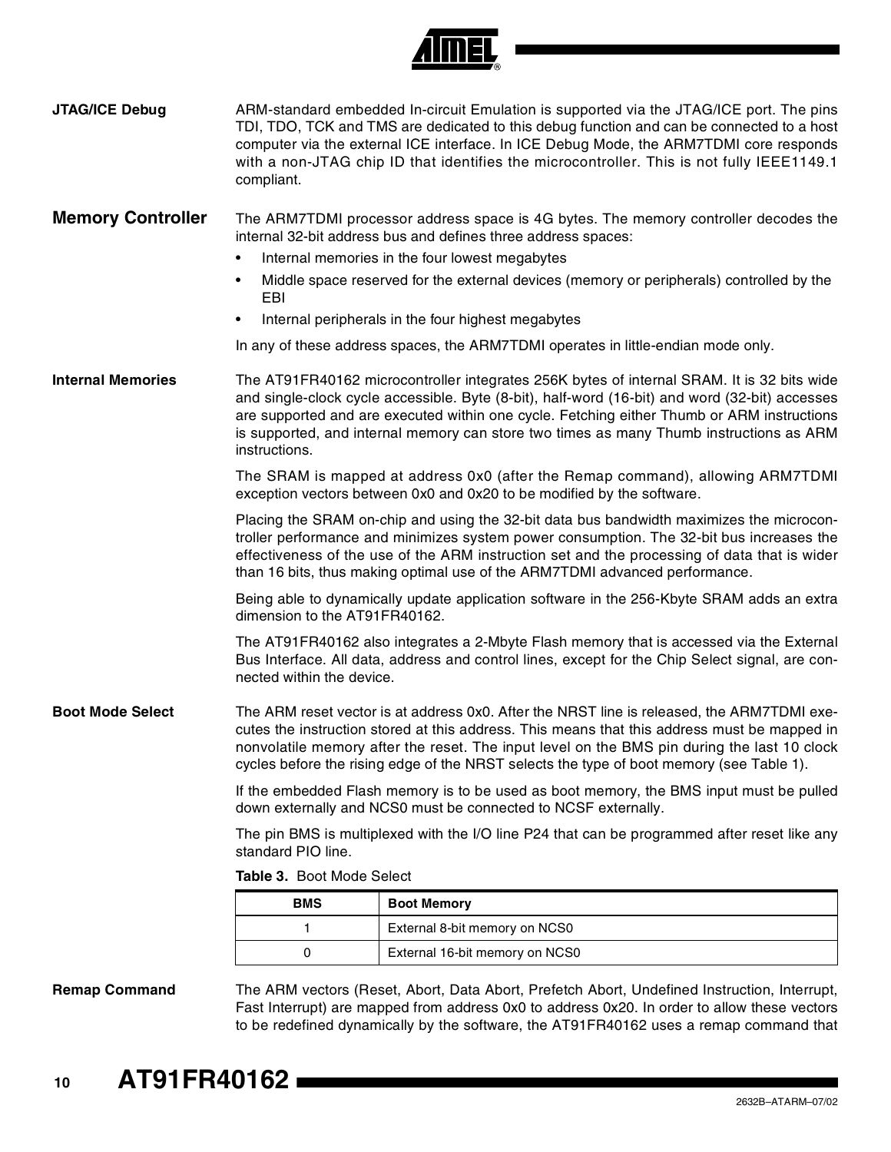

| JTAG/ICE Debug           | ARM-standard embedded In-circuit Emulation is supported via the JTAG/ICE port. The pins<br>TDI, TDO, TCK and TMS are dedicated to this debug function and can be connected to a host<br>computer via the external ICE interface. In ICE Debug Mode, the ARM7TDMI core responds<br>with a non-JTAG chip ID that identifies the microcontroller. This is not fully IEEE1149.1<br>compliant.              |                                                                                                                                                          |  |  |  |  |  |
|--------------------------|--------------------------------------------------------------------------------------------------------------------------------------------------------------------------------------------------------------------------------------------------------------------------------------------------------------------------------------------------------------------------------------------------------|----------------------------------------------------------------------------------------------------------------------------------------------------------|--|--|--|--|--|
| <b>Memory Controller</b> | The ARM7TDMI processor address space is 4G bytes. The memory controller decodes the<br>internal 32-bit address bus and defines three address spaces:<br>Internal memories in the four lowest megabytes<br>٠                                                                                                                                                                                            |                                                                                                                                                          |  |  |  |  |  |
|                          | ٠<br>EBI                                                                                                                                                                                                                                                                                                                                                                                               | Middle space reserved for the external devices (memory or peripherals) controlled by the                                                                 |  |  |  |  |  |
|                          | ٠                                                                                                                                                                                                                                                                                                                                                                                                      | Internal peripherals in the four highest megabytes                                                                                                       |  |  |  |  |  |
|                          |                                                                                                                                                                                                                                                                                                                                                                                                        | In any of these address spaces, the ARM7TDMI operates in little-endian mode only.                                                                        |  |  |  |  |  |
| <b>Internal Memories</b> | The AT91FR40162 microcontroller integrates 256K bytes of internal SRAM. It is 32 bits wide<br>and single-clock cycle accessible. Byte (8-bit), half-word (16-bit) and word (32-bit) accesses<br>are supported and are executed within one cycle. Fetching either Thumb or ARM instructions<br>is supported, and internal memory can store two times as many Thumb instructions as ARM<br>instructions. |                                                                                                                                                          |  |  |  |  |  |
|                          |                                                                                                                                                                                                                                                                                                                                                                                                        | The SRAM is mapped at address 0x0 (after the Remap command), allowing ARM7TDMI<br>exception vectors between 0x0 and 0x20 to be modified by the software. |  |  |  |  |  |
|                          | Placing the SRAM on-chip and using the 32-bit data bus bandwidth maximizes the microcon-<br>troller performance and minimizes system power consumption. The 32-bit bus increases the<br>effectiveness of the use of the ARM instruction set and the processing of data that is wider<br>than 16 bits, thus making optimal use of the ARM7TDMI advanced performance.                                    |                                                                                                                                                          |  |  |  |  |  |
|                          | Being able to dynamically update application software in the 256-Kbyte SRAM adds an extra<br>dimension to the AT91FR40162.                                                                                                                                                                                                                                                                             |                                                                                                                                                          |  |  |  |  |  |
|                          | The AT91FR40162 also integrates a 2-Mbyte Flash memory that is accessed via the External<br>Bus Interface. All data, address and control lines, except for the Chip Select signal, are con-<br>nected within the device.                                                                                                                                                                               |                                                                                                                                                          |  |  |  |  |  |
| <b>Boot Mode Select</b>  | The ARM reset vector is at address 0x0. After the NRST line is released, the ARM7TDMI exe-<br>cutes the instruction stored at this address. This means that this address must be mapped in<br>nonvolatile memory after the reset. The input level on the BMS pin during the last 10 clock<br>cycles before the rising edge of the NRST selects the type of boot memory (see Table 1).                  |                                                                                                                                                          |  |  |  |  |  |
|                          | If the embedded Flash memory is to be used as boot memory, the BMS input must be pulled<br>down externally and NCS0 must be connected to NCSF externally.                                                                                                                                                                                                                                              |                                                                                                                                                          |  |  |  |  |  |
|                          | The pin BMS is multiplexed with the I/O line P24 that can be programmed after reset like any<br>standard PIO line.                                                                                                                                                                                                                                                                                     |                                                                                                                                                          |  |  |  |  |  |
|                          | Table 3. Boot Mode Select                                                                                                                                                                                                                                                                                                                                                                              |                                                                                                                                                          |  |  |  |  |  |
|                          | BMS                                                                                                                                                                                                                                                                                                                                                                                                    | <b>Boot Memory</b>                                                                                                                                       |  |  |  |  |  |
|                          | 1                                                                                                                                                                                                                                                                                                                                                                                                      | External 8-bit memory on NCS0                                                                                                                            |  |  |  |  |  |
|                          | 0                                                                                                                                                                                                                                                                                                                                                                                                      | External 16-bit memory on NCS0                                                                                                                           |  |  |  |  |  |
| <b>Remap Command</b>     |                                                                                                                                                                                                                                                                                                                                                                                                        | The ARM vectors (Reset, Abort, Data Abort, Prefetch Abort, Undefined Instruction, Interrupt,                                                             |  |  |  |  |  |

Fast Interrupt) are mapped from address 0x0 to address 0x20. In order to allow these vectors to be redefined dynamically by the software, the AT91FR40162 uses a remap command that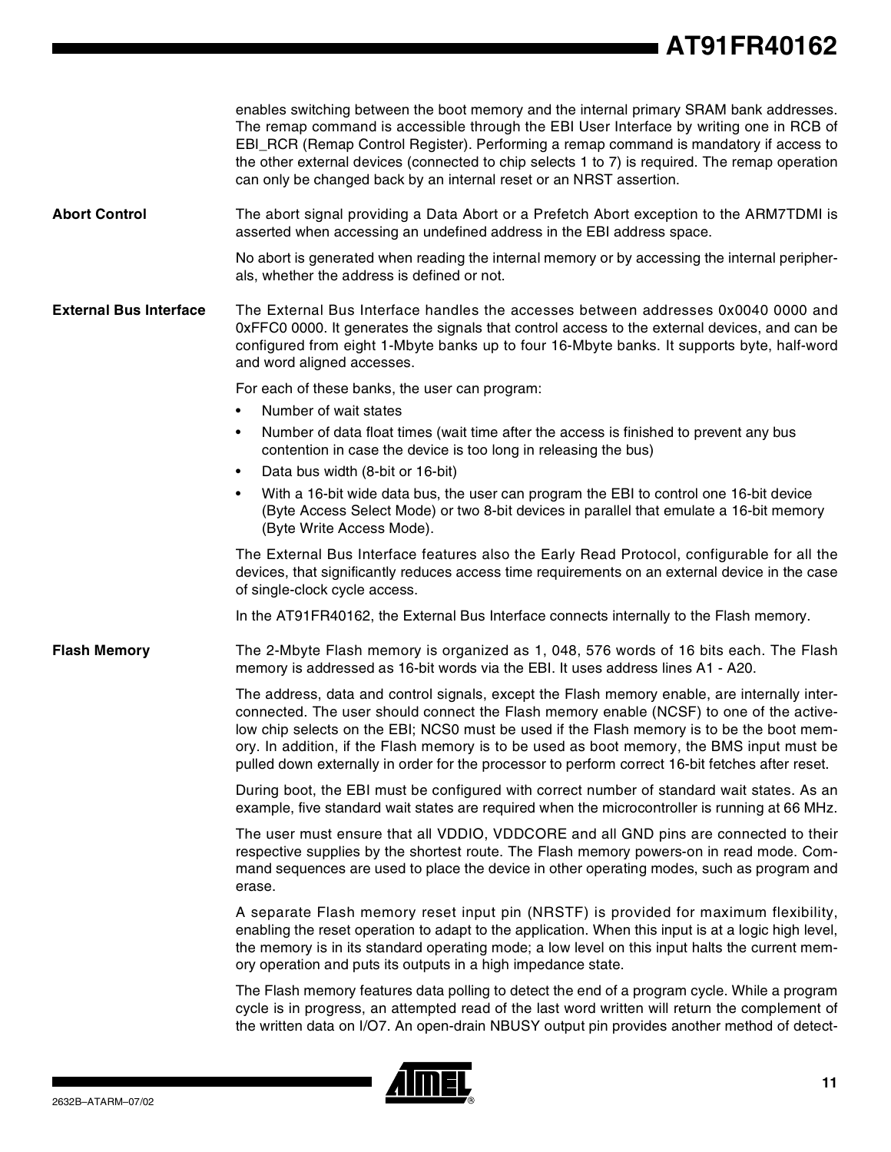enables switching between the boot memory and the internal primary SRAM bank addresses. The remap command is accessible through the EBI User Interface by writing one in RCB of EBI\_RCR (Remap Control Register). Performing a remap command is mandatory if access to the other external devices (connected to chip selects 1 to 7) is required. The remap operation can only be changed back by an internal reset or an NRST assertion. **Abort Control** The abort signal providing a Data Abort or a Prefetch Abort exception to the ARM7TDMI is asserted when accessing an undefined address in the EBI address space. No abort is generated when reading the internal memory or by accessing the internal peripherals, whether the address is defined or not. **External Bus Interface** The External Bus Interface handles the accesses between addresses 0x0040 0000 and 0xFFC0 0000. It generates the signals that control access to the external devices, and can be configured from eight 1-Mbyte banks up to four 16-Mbyte banks. It supports byte, half-word and word aligned accesses. For each of these banks, the user can program: • Number of wait states • Number of data float times (wait time after the access is finished to prevent any bus contention in case the device is too long in releasing the bus) • Data bus width (8-bit or 16-bit) • With a 16-bit wide data bus, the user can program the EBI to control one 16-bit device (Byte Access Select Mode) or two 8-bit devices in parallel that emulate a 16-bit memory (Byte Write Access Mode). The External Bus Interface features also the Early Read Protocol, configurable for all the devices, that significantly reduces access time requirements on an external device in the case of single-clock cycle access. In the AT91FR40162, the External Bus Interface connects internally to the Flash memory. **Flash Memory** The 2-Mbyte Flash memory is organized as 1, 048, 576 words of 16 bits each. The Flash memory is addressed as 16-bit words via the EBI. It uses address lines A1 - A20. The address, data and control signals, except the Flash memory enable, are internally interconnected. The user should connect the Flash memory enable (NCSF) to one of the activelow chip selects on the EBI; NCS0 must be used if the Flash memory is to be the boot memory. In addition, if the Flash memory is to be used as boot memory, the BMS input must be pulled down externally in order for the processor to perform correct 16-bit fetches after reset. During boot, the EBI must be configured with correct number of standard wait states. As an example, five standard wait states are required when the microcontroller is running at 66 MHz. The user must ensure that all VDDIO, VDDCORE and all GND pins are connected to their respective supplies by the shortest route. The Flash memory powers-on in read mode. Command sequences are used to place the device in other operating modes, such as program and erase. A separate Flash memory reset input pin (NRSTF) is provided for maximum flexibility, enabling the reset operation to adapt to the application. When this input is at a logic high level, the memory is in its standard operating mode; a low level on this input halts the current memory operation and puts its outputs in a high impedance state. The Flash memory features data polling to detect the end of a program cycle. While a program cycle is in progress, an attempted read of the last word written will return the complement of the written data on I/O7. An open-drain NBUSY output pin provides another method of detect-

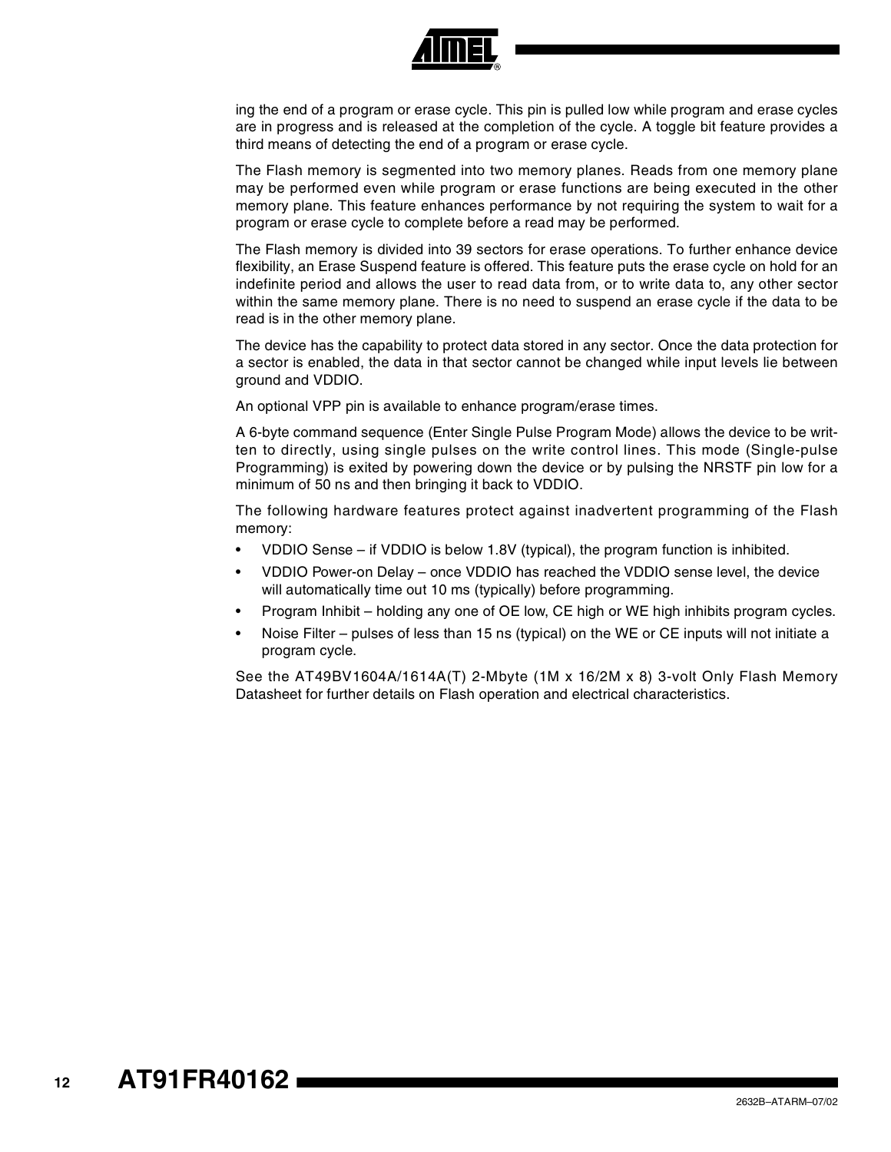

ing the end of a program or erase cycle. This pin is pulled low while program and erase cycles are in progress and is released at the completion of the cycle. A toggle bit feature provides a third means of detecting the end of a program or erase cycle.

The Flash memory is segmented into two memory planes. Reads from one memory plane may be performed even while program or erase functions are being executed in the other memory plane. This feature enhances performance by not requiring the system to wait for a program or erase cycle to complete before a read may be performed.

The Flash memory is divided into 39 sectors for erase operations. To further enhance device flexibility, an Erase Suspend feature is offered. This feature puts the erase cycle on hold for an indefinite period and allows the user to read data from, or to write data to, any other sector within the same memory plane. There is no need to suspend an erase cycle if the data to be read is in the other memory plane.

The device has the capability to protect data stored in any sector. Once the data protection for a sector is enabled, the data in that sector cannot be changed while input levels lie between ground and VDDIO.

An optional VPP pin is available to enhance program/erase times.

A 6-byte command sequence (Enter Single Pulse Program Mode) allows the device to be written to directly, using single pulses on the write control lines. This mode (Single-pulse Programming) is exited by powering down the device or by pulsing the NRSTF pin low for a minimum of 50 ns and then bringing it back to VDDIO.

The following hardware features protect against inadvertent programming of the Flash memory:

- VDDIO Sense if VDDIO is below 1.8V (typical), the program function is inhibited.
- VDDIO Power-on Delay once VDDIO has reached the VDDIO sense level, the device will automatically time out 10 ms (typically) before programming.
- Program Inhibit holding any one of OE low, CE high or WE high inhibits program cycles.
- Noise Filter pulses of less than 15 ns (typical) on the WE or CE inputs will not initiate a program cycle.

See the AT49BV1604A/1614A(T) 2-Mbyte (1M x 16/2M x 8) 3-volt Only Flash Memory Datasheet for further details on Flash operation and electrical characteristics.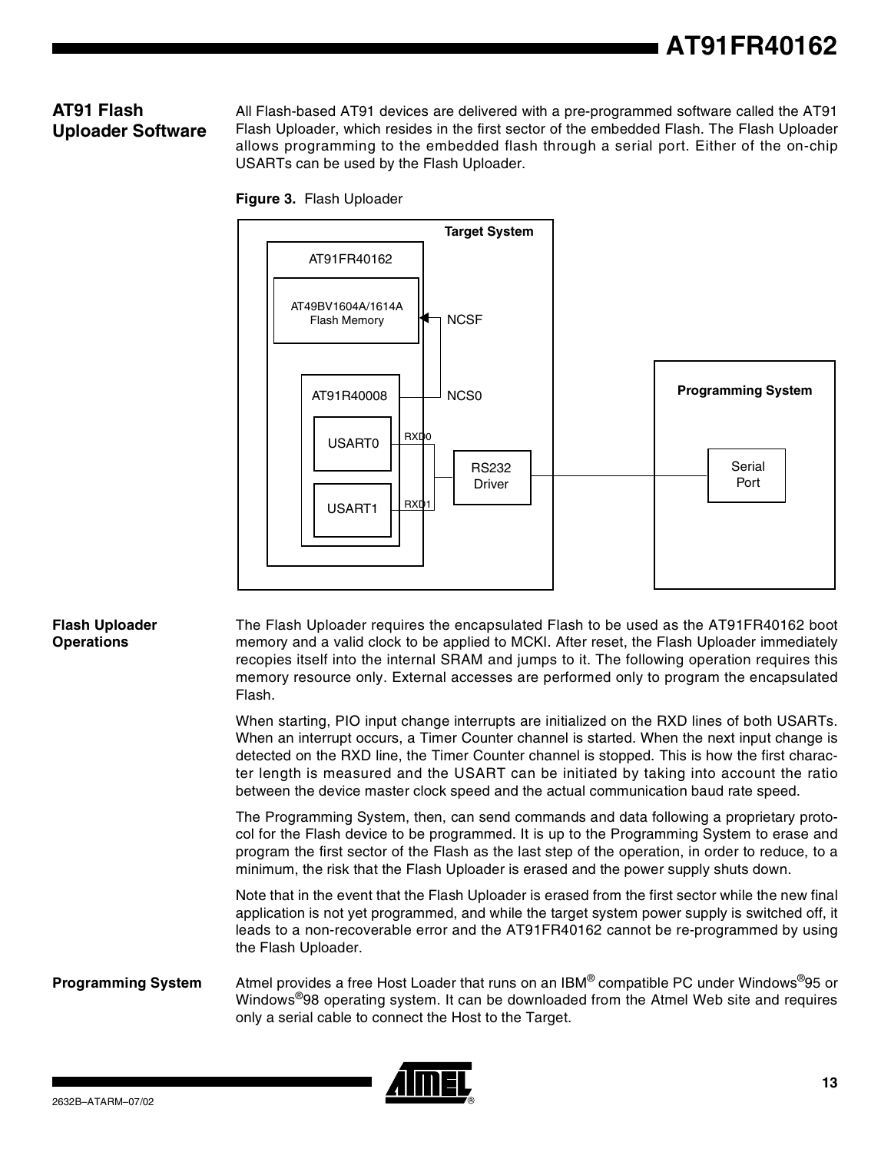#### **AT91 Flash Uploader Software**

All Flash-based AT91 devices are delivered with a pre-programmed software called the AT91 Flash Uploader, which resides in the first sector of the embedded Flash. The Flash Uploader allows programming to the embedded flash through a serial port. Either of the on-chip USARTs can be used by the Flash Uploader.





#### **Flash Uploader Operations**

The Flash Uploader requires the encapsulated Flash to be used as the AT91FR40162 boot memory and a valid clock to be applied to MCKI. After reset, the Flash Uploader immediately recopies itself into the internal SRAM and jumps to it. The following operation requires this memory resource only. External accesses are performed only to program the encapsulated Flash.

When starting, PIO input change interrupts are initialized on the RXD lines of both USARTs. When an interrupt occurs, a Timer Counter channel is started. When the next input change is detected on the RXD line, the Timer Counter channel is stopped. This is how the first character length is measured and the USART can be initiated by taking into account the ratio between the device master clock speed and the actual communication baud rate speed.

The Programming System, then, can send commands and data following a proprietary protocol for the Flash device to be programmed. It is up to the Programming System to erase and program the first sector of the Flash as the last step of the operation, in order to reduce, to a minimum, the risk that the Flash Uploader is erased and the power supply shuts down.

Note that in the event that the Flash Uploader is erased from the first sector while the new final application is not yet programmed, and while the target system power supply is switched off, it leads to a non-recoverable error and the AT91FR40162 cannot be re-programmed by using the Flash Uploader.

#### **Programming System** Atmel provides a free Host Loader that runs on an IBM® compatible PC under Windows®95 or Windows®98 operating system. It can be downloaded from the Atmel Web site and requires only a serial cable to connect the Host to the Target.

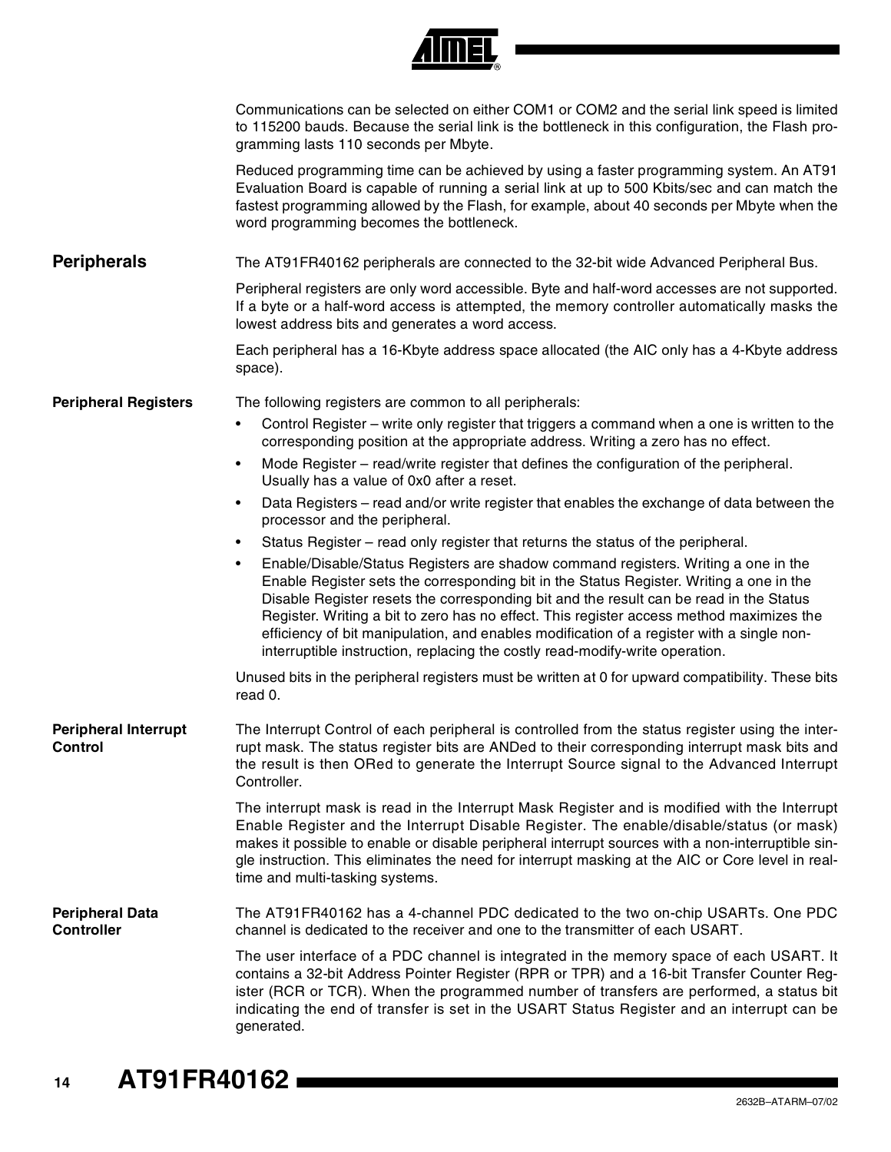|                                               | 4 JULIE 1                                                                                                                                                                                                                                                                                                                                                                                                                                                                                                                                                     |
|-----------------------------------------------|---------------------------------------------------------------------------------------------------------------------------------------------------------------------------------------------------------------------------------------------------------------------------------------------------------------------------------------------------------------------------------------------------------------------------------------------------------------------------------------------------------------------------------------------------------------|
|                                               | Communications can be selected on either COM1 or COM2 and the serial link speed is limited<br>to 115200 bauds. Because the serial link is the bottleneck in this configuration, the Flash pro-<br>gramming lasts 110 seconds per Mbyte.                                                                                                                                                                                                                                                                                                                       |
|                                               | Reduced programming time can be achieved by using a faster programming system. An AT91<br>Evaluation Board is capable of running a serial link at up to 500 Kbits/sec and can match the<br>fastest programming allowed by the Flash, for example, about 40 seconds per Mbyte when the<br>word programming becomes the bottleneck.                                                                                                                                                                                                                             |
| <b>Peripherals</b>                            | The AT91FR40162 peripherals are connected to the 32-bit wide Advanced Peripheral Bus.                                                                                                                                                                                                                                                                                                                                                                                                                                                                         |
|                                               | Peripheral registers are only word accessible. Byte and half-word accesses are not supported.<br>If a byte or a half-word access is attempted, the memory controller automatically masks the<br>lowest address bits and generates a word access.                                                                                                                                                                                                                                                                                                              |
|                                               | Each peripheral has a 16-Kbyte address space allocated (the AIC only has a 4-Kbyte address<br>space).                                                                                                                                                                                                                                                                                                                                                                                                                                                         |
| <b>Peripheral Registers</b>                   | The following registers are common to all peripherals:                                                                                                                                                                                                                                                                                                                                                                                                                                                                                                        |
|                                               | Control Register – write only register that triggers a command when a one is written to the<br>$\bullet$<br>corresponding position at the appropriate address. Writing a zero has no effect.                                                                                                                                                                                                                                                                                                                                                                  |
|                                               | Mode Register - read/write register that defines the configuration of the peripheral.<br>$\bullet$<br>Usually has a value of 0x0 after a reset.                                                                                                                                                                                                                                                                                                                                                                                                               |
|                                               | Data Registers – read and/or write register that enables the exchange of data between the<br>$\bullet$<br>processor and the peripheral.                                                                                                                                                                                                                                                                                                                                                                                                                       |
|                                               | Status Register - read only register that returns the status of the peripheral.<br>$\bullet$                                                                                                                                                                                                                                                                                                                                                                                                                                                                  |
|                                               | Enable/Disable/Status Registers are shadow command registers. Writing a one in the<br>$\bullet$<br>Enable Register sets the corresponding bit in the Status Register. Writing a one in the<br>Disable Register resets the corresponding bit and the result can be read in the Status<br>Register. Writing a bit to zero has no effect. This register access method maximizes the<br>efficiency of bit manipulation, and enables modification of a register with a single non-<br>interruptible instruction, replacing the costly read-modify-write operation. |
|                                               | Unused bits in the peripheral registers must be written at 0 for upward compatibility. These bits<br>read 0.                                                                                                                                                                                                                                                                                                                                                                                                                                                  |
| <b>Peripheral Interrupt</b><br><b>Control</b> | The Interrupt Control of each peripheral is controlled from the status register using the inter-<br>rupt mask. The status register bits are ANDed to their corresponding interrupt mask bits and<br>the result is then ORed to generate the Interrupt Source signal to the Advanced Interrupt<br>Controller.                                                                                                                                                                                                                                                  |
|                                               | The interrupt mask is read in the Interrupt Mask Register and is modified with the Interrupt<br>Enable Register and the Interrupt Disable Register. The enable/disable/status (or mask)<br>makes it possible to enable or disable peripheral interrupt sources with a non-interruptible sin-<br>gle instruction. This eliminates the need for interrupt masking at the AIC or Core level in real-<br>time and multi-tasking systems.                                                                                                                          |
| <b>Peripheral Data</b><br><b>Controller</b>   | The AT91FR40162 has a 4-channel PDC dedicated to the two on-chip USARTs. One PDC<br>channel is dedicated to the receiver and one to the transmitter of each USART.                                                                                                                                                                                                                                                                                                                                                                                            |
|                                               | The user interface of a PDC channel is integrated in the memory space of each USART. It<br>contains a 32-bit Address Pointer Register (RPR or TPR) and a 16-bit Transfer Counter Reg-<br>ister (RCR or TCR). When the programmed number of transfers are performed, a status bit<br>indicating the end of transfer is set in the USART Status Register and an interrupt can be<br>generated.                                                                                                                                                                  |

*Amer*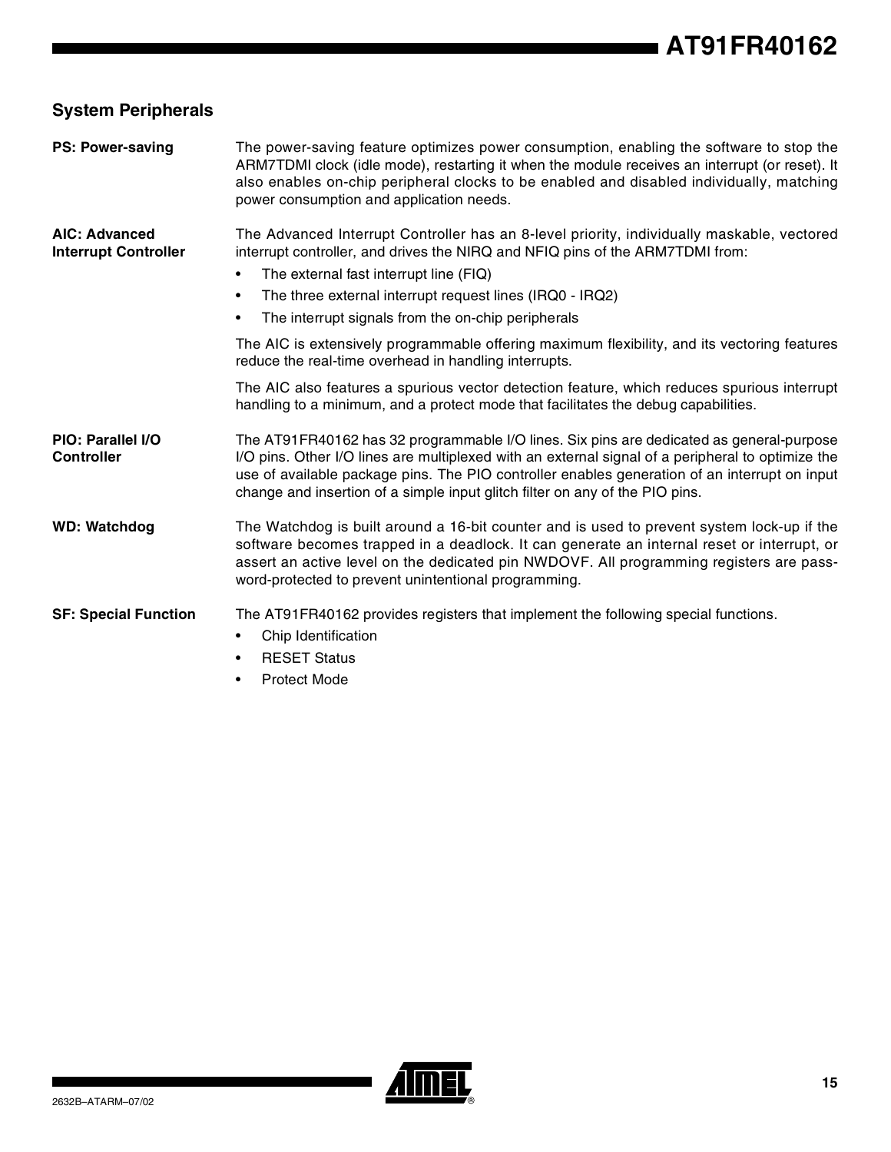## **System Peripherals**

| <b>PS: Power-saving</b>                             | The power-saving feature optimizes power consumption, enabling the software to stop the<br>ARM7TDMI clock (idle mode), restarting it when the module receives an interrupt (or reset). It<br>also enables on-chip peripheral clocks to be enabled and disabled individually, matching<br>power consumption and application needs.                                                                                                                                                                                                                                                                                                                                                                                            |
|-----------------------------------------------------|------------------------------------------------------------------------------------------------------------------------------------------------------------------------------------------------------------------------------------------------------------------------------------------------------------------------------------------------------------------------------------------------------------------------------------------------------------------------------------------------------------------------------------------------------------------------------------------------------------------------------------------------------------------------------------------------------------------------------|
| <b>AIC: Advanced</b><br><b>Interrupt Controller</b> | The Advanced Interrupt Controller has an 8-level priority, individually maskable, vectored<br>interrupt controller, and drives the NIRQ and NFIQ pins of the ARM7TDMI from:<br>The external fast interrupt line (FIQ)<br>$\bullet$<br>The three external interrupt request lines (IRQ0 - IRQ2)<br>$\bullet$<br>The interrupt signals from the on-chip peripherals<br>$\bullet$<br>The AIC is extensively programmable offering maximum flexibility, and its vectoring features<br>reduce the real-time overhead in handling interrupts.<br>The AIC also features a spurious vector detection feature, which reduces spurious interrupt<br>handling to a minimum, and a protect mode that facilitates the debug capabilities. |
| PIO: Parallel I/O<br><b>Controller</b>              | The AT91FR40162 has 32 programmable I/O lines. Six pins are dedicated as general-purpose<br>I/O pins. Other I/O lines are multiplexed with an external signal of a peripheral to optimize the<br>use of available package pins. The PIO controller enables generation of an interrupt on input<br>change and insertion of a simple input glitch filter on any of the PIO pins.                                                                                                                                                                                                                                                                                                                                               |
| <b>WD: Watchdog</b>                                 | The Watchdog is built around a 16-bit counter and is used to prevent system lock-up if the<br>software becomes trapped in a deadlock. It can generate an internal reset or interrupt, or<br>assert an active level on the dedicated pin NWDOVF. All programming registers are pass-<br>word-protected to prevent unintentional programming.                                                                                                                                                                                                                                                                                                                                                                                  |
| <b>SF: Special Function</b>                         | The AT91FR40162 provides registers that implement the following special functions.<br>Chip Identification<br><b>RESET Status</b><br>$\bullet$<br><b>Protect Mode</b>                                                                                                                                                                                                                                                                                                                                                                                                                                                                                                                                                         |

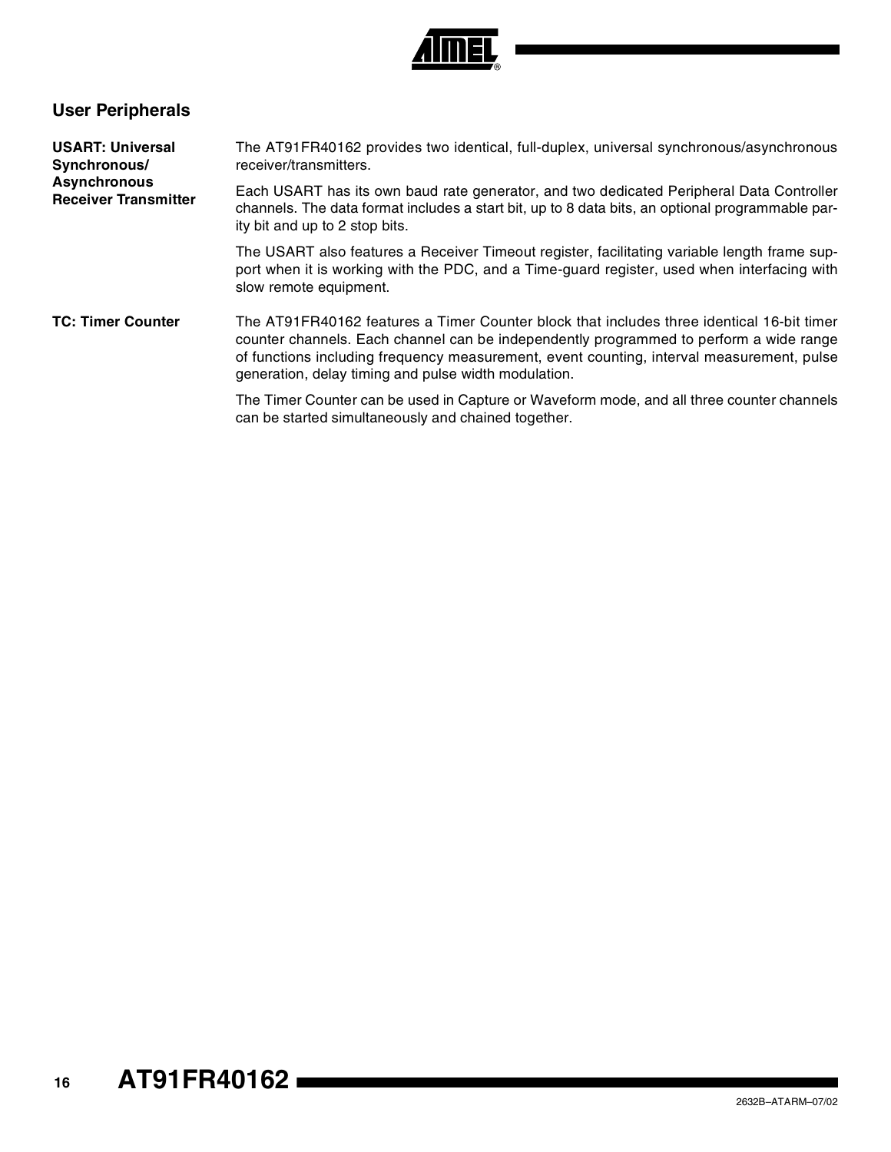

## **User Peripherals**

| <b>USART: Universal</b><br>Synchronous/            | The AT91FR40162 provides two identical, full-duplex, universal synchronous/asynchronous<br>receiver/transmitters.                                                                                                                                                                                                                        |  |  |  |  |
|----------------------------------------------------|------------------------------------------------------------------------------------------------------------------------------------------------------------------------------------------------------------------------------------------------------------------------------------------------------------------------------------------|--|--|--|--|
| <b>Asynchronous</b><br><b>Receiver Transmitter</b> | Each USART has its own baud rate generator, and two dedicated Peripheral Data Controller<br>channels. The data format includes a start bit, up to 8 data bits, an optional programmable par-<br>ity bit and up to 2 stop bits.                                                                                                           |  |  |  |  |
|                                                    | The USART also features a Receiver Timeout register, facilitating variable length frame sup-<br>port when it is working with the PDC, and a Time-guard register, used when interfacing with<br>slow remote equipment.                                                                                                                    |  |  |  |  |
| <b>TC: Timer Counter</b>                           | The AT91FR40162 features a Timer Counter block that includes three identical 16-bit timer<br>counter channels. Each channel can be independently programmed to perform a wide range<br>of functions including frequency measurement, event counting, interval measurement, pulse<br>generation, delay timing and pulse width modulation. |  |  |  |  |
|                                                    | The Timer Counter can be used in Capture or Waveform mode, and all three counter channels<br>can be started simultaneously and chained together.                                                                                                                                                                                         |  |  |  |  |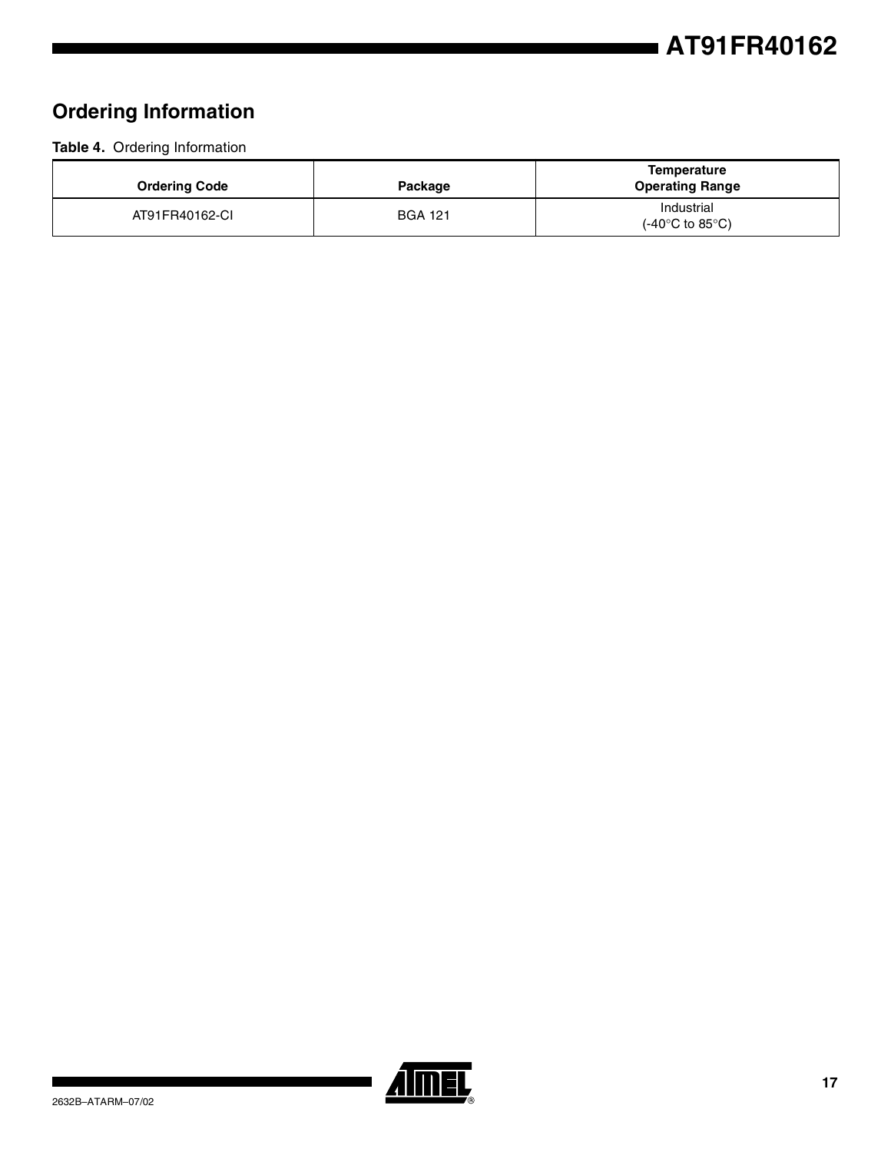## **Ordering Information**

#### **Table 4.** Ordering Information

| <b>Ordering Code</b> | Package        | <b>Temperature</b><br><b>Operating Range</b>       |
|----------------------|----------------|----------------------------------------------------|
| AT91FR40162-CI       | <b>BGA 121</b> | Industrial<br>$(-40^{\circ}$ C to 85 $^{\circ}$ C) |

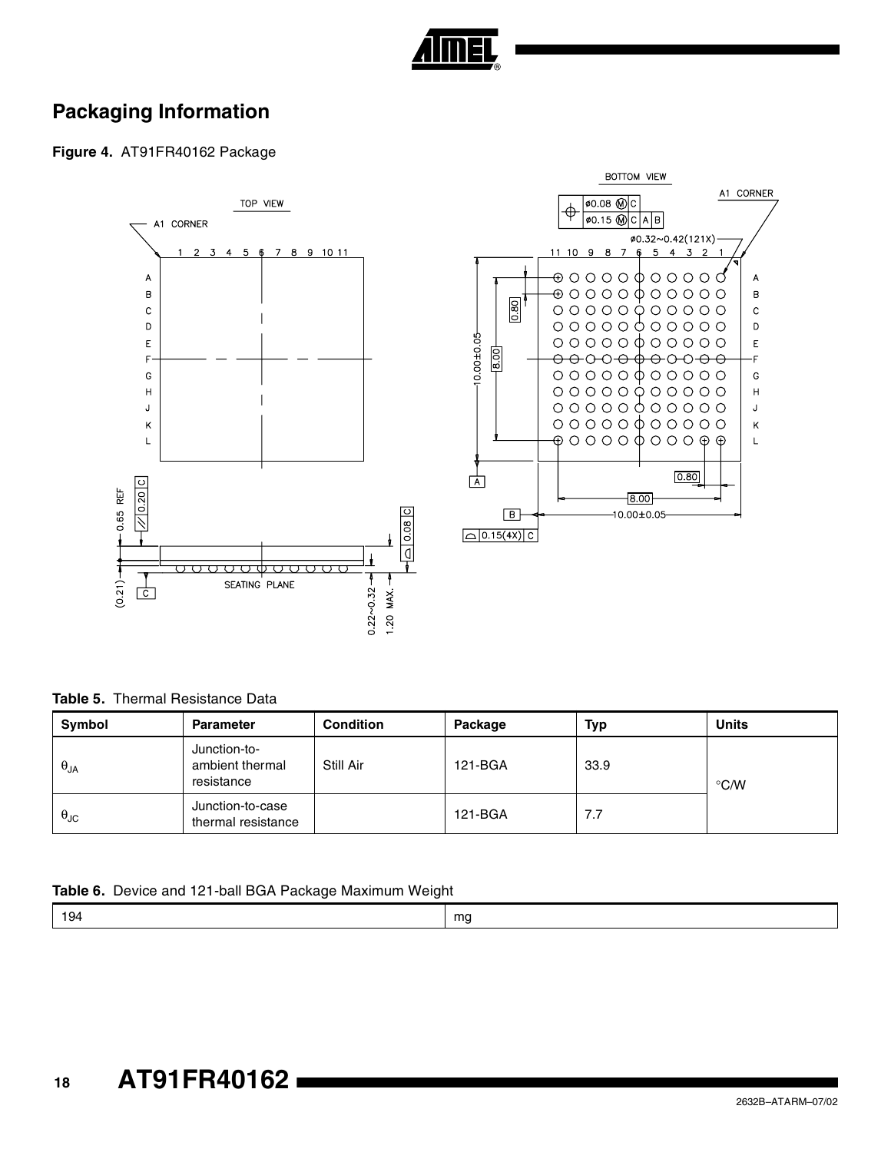

## **Packaging Information**

**Figure 4.** AT91FR40162 Package



**Table 5.** Thermal Resistance Data

| Symbol               | <b>Parameter</b>                              | <b>Condition</b> | Package | <b>Typ</b> | <b>Units</b>  |
|----------------------|-----------------------------------------------|------------------|---------|------------|---------------|
| $\theta_{JA}$        | Junction-to-<br>ambient thermal<br>resistance | Still Air        | 121-BGA | 33.9       | $\degree$ C/W |
| $\theta_{\text{JC}}$ | Junction-to-case<br>thermal resistance        |                  | 121-BGA | 7.7        |               |

**Table 6.** Device and 121-ball BGA Package Maximum Weight

 $\overline{A}$ 

 $\overline{\mathsf{B}}$ 

 $\mathbf c$ 

 $\mathsf D$ 

 $\overline{E}$ 

٠F

G

 $\boldsymbol{\mathsf{H}}$ 

J

 $\overline{\mathsf{K}}$ 

 $\mathsf{L}$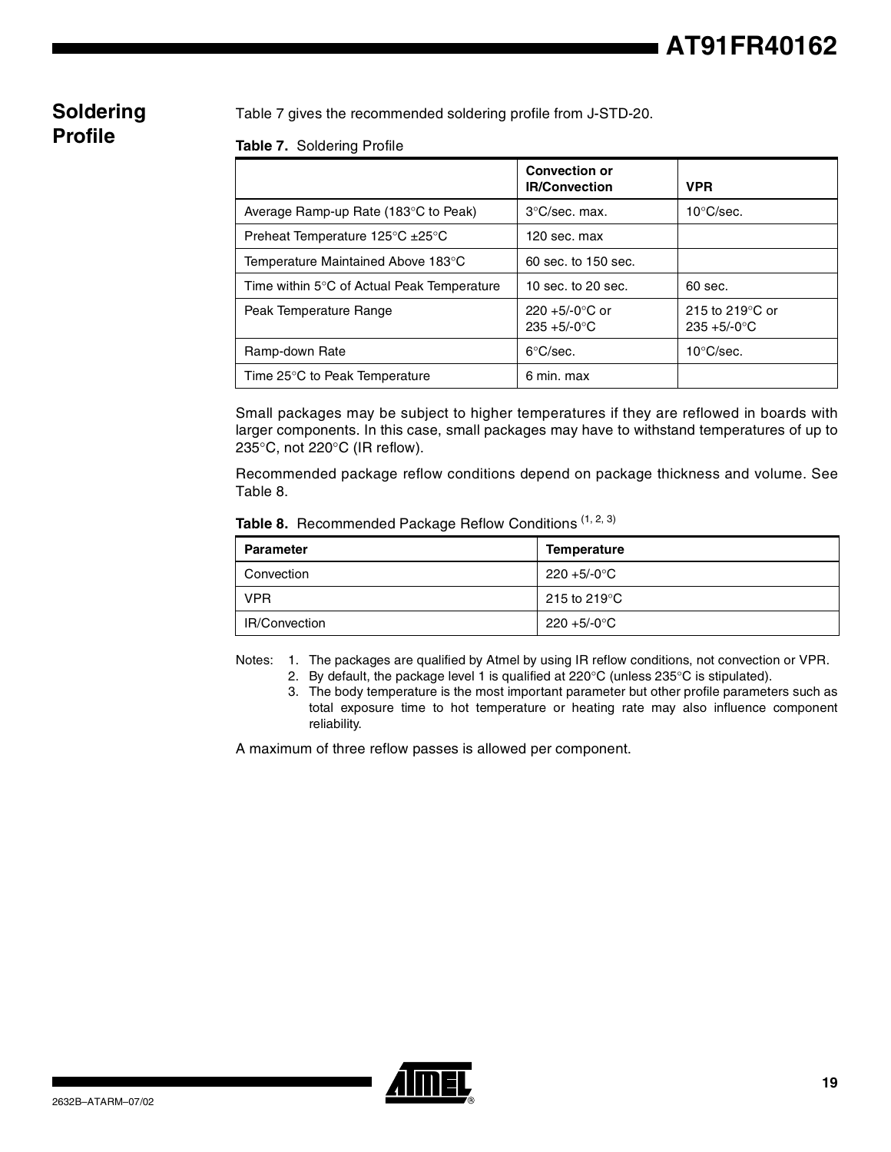## **Soldering Profile**

Table 7 gives the recommended soldering profile from J-STD-20.

#### **Table 7.** Soldering Profile

|                                                        | <b>Convection or</b><br><b>IR/Convection</b> | <b>VPR</b>                                   |
|--------------------------------------------------------|----------------------------------------------|----------------------------------------------|
| Average Ramp-up Rate (183°C to Peak)                   | $3^{\circ}$ C/sec. max.                      | $10^{\circ}$ C/sec.                          |
| Preheat Temperature $125^{\circ}$ C $\pm 25^{\circ}$ C | 120 sec. max                                 |                                              |
| Temperature Maintained Above 183°C                     | 60 sec. to 150 sec.                          |                                              |
| Time within 5°C of Actual Peak Temperature             | 10 sec. to $20$ sec.                         | $60$ sec.                                    |
| Peak Temperature Range                                 | $220 + 5/-0$ °C or<br>$235 + 5/-0$ °C        | 215 to 219 $\degree$ C or<br>$235 + 5/-0$ °C |
| Ramp-down Rate                                         | $6^{\circ}$ C/sec.                           | $10^{\circ}$ C/sec.                          |
| Time 25°C to Peak Temperature                          | 6 min. max                                   |                                              |

Small packages may be subject to higher temperatures if they are reflowed in boards with larger components. In this case, small packages may have to withstand temperatures of up to 235°C, not 220°C (IR reflow).

Recommended package reflow conditions depend on package thickness and volume. See Table 8.

|  | Table 8. Recommended Package Reflow Conditions (1, 2, 3) |  |  |  |  |
|--|----------------------------------------------------------|--|--|--|--|
|--|----------------------------------------------------------|--|--|--|--|

| <b>Parameter</b> | Temperature                        |
|------------------|------------------------------------|
| Convection       | $220 + 5/-0$ °C                    |
| <b>VPR</b>       | $^{\circ}$ 215 to 219 $^{\circ}$ C |
| IR/Convection    | $220 + 5/-0$ °C                    |

Notes: 1. The packages are qualified by Atmel by using IR reflow conditions, not convection or VPR.

- 2. By default, the package level 1 is qualified at  $220^{\circ}$ C (unless  $235^{\circ}$ C is stipulated).
- 3. The body temperature is the most important parameter but other profile parameters such as total exposure time to hot temperature or heating rate may also influence component reliability.

A maximum of three reflow passes is allowed per component.

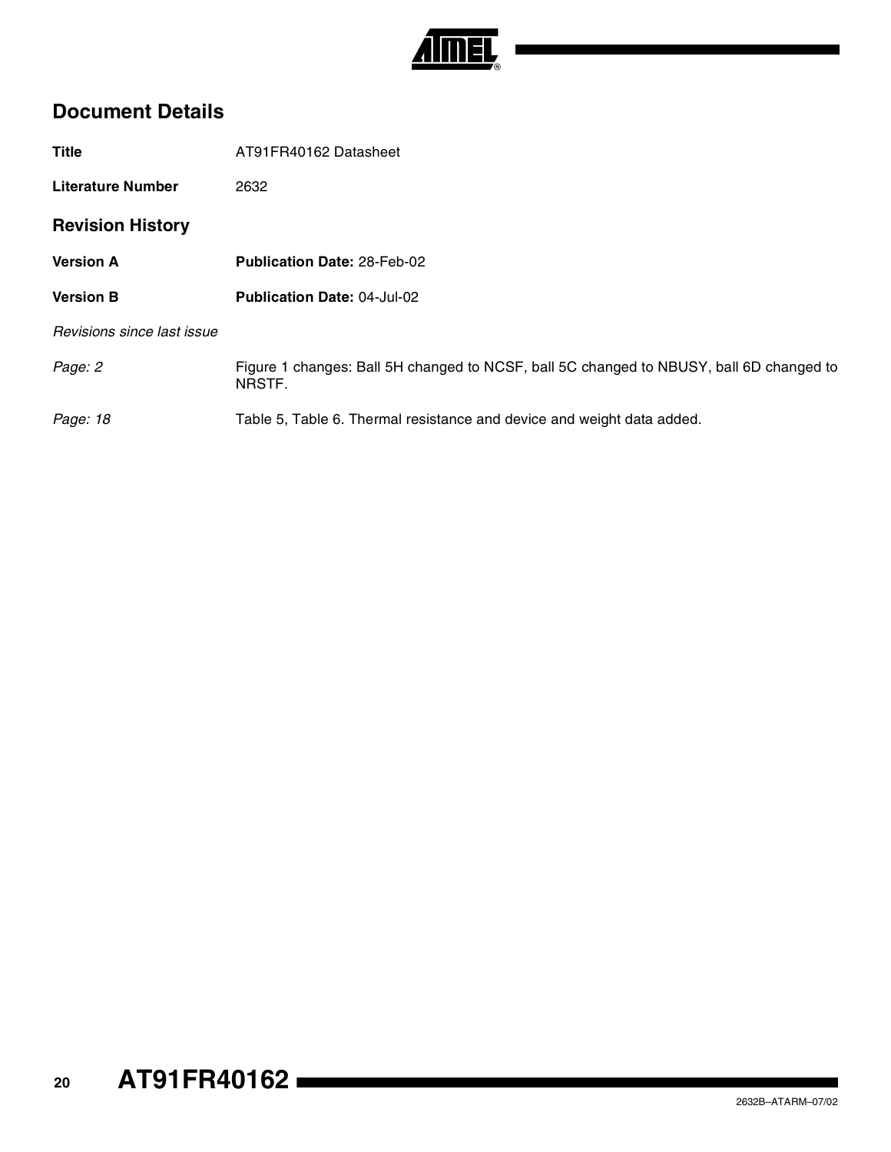

## **Document Details**

| <b>Title</b>               | AT91FR40162 Datasheet                                                                             |
|----------------------------|---------------------------------------------------------------------------------------------------|
| <b>Literature Number</b>   | 2632                                                                                              |
| <b>Revision History</b>    |                                                                                                   |
| <b>Version A</b>           | <b>Publication Date: 28-Feb-02</b>                                                                |
| <b>Version B</b>           | <b>Publication Date: 04-Jul-02</b>                                                                |
| Revisions since last issue |                                                                                                   |
| Page: 2                    | Figure 1 changes: Ball 5H changed to NCSF, ball 5C changed to NBUSY, ball 6D changed to<br>NRSTF. |
| Page: 18                   | Table 5, Table 6. Thermal resistance and device and weight data added.                            |